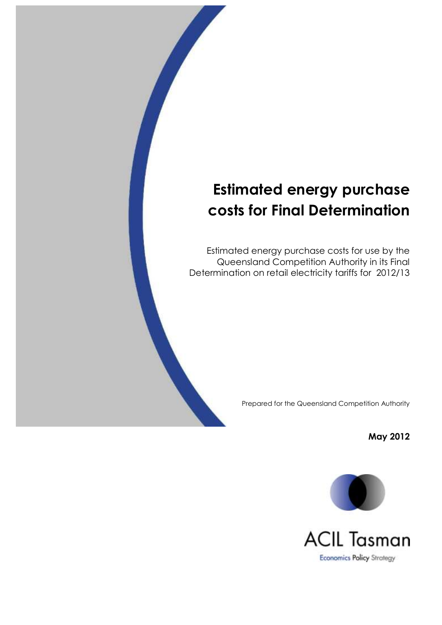Estimated energy purchase costs for use by the Queensland Competition Authority in its Final Determination on retail electricity tariffs for 2012/13

Prepared for the Queensland Competition Authority

**May 2012**

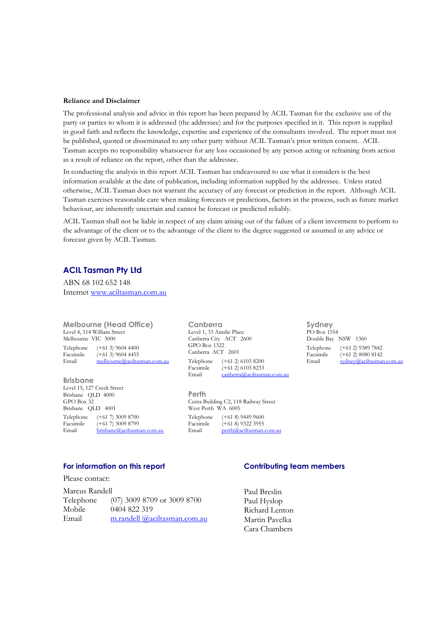#### **Reliance and Disclaimer**

The professional analysis and advice in this report has been prepared by ACIL Tasman for the exclusive use of the party or parties to whom it is addressed (the addressee) and for the purposes specified in it. This report is supplied in good faith and reflects the knowledge, expertise and experience of the consultants involved. The report must not be published, quoted or disseminated to any other party without ACIL Tasman's prior written consent. ACIL Tasman accepts no responsibility whatsoever for any loss occasioned by any person acting or refraining from action as a result of reliance on the report, other than the addressee.

In conducting the analysis in this report ACIL Tasman has endeavoured to use what it considers is the best information available at the date of publication, including information supplied by the addressee. Unless stated otherwise, ACIL Tasman does not warrant the accuracy of any forecast or prediction in the report. Although ACIL Tasman exercises reasonable care when making forecasts or predictions, factors in the process, such as future market behaviour, are inherently uncertain and cannot be forecast or predicted reliably.

ACIL Tasman shall not be liable in respect of any claim arising out of the failure of a client investment to perform to the advantage of the client or to the advantage of the client to the degree suggested or assumed in any advice or forecast given by ACIL Tasman.

#### **ACIL Tasman Pty Ltd**

ABN 68 102 652 148 Internet [www.aciltasman.com.au](http://www.aciltasman.com.au/)

**Melbourne (Head Office)** Level 4, 114 William Street Melbourne VIC 3000 Telephone (+61 3) 9604 4400<br>Facsimile (+61 3) 9604 4455 Facsimile  $(+61\ 3)$  9604 4455<br>Email melbourne@acilta [melbourne@aciltasman.com.au](mailto:melbourne@aciltasman.com.au)

**Brisbane** Level 15, 127 Creek Street Brisbane QLD 4000 GPO Box 32 Brisbane QLD 4001 Telephone (+61 7) 3009 8700 Facsimile (+61 7) 3009 8799 Email [brisbane@aciltasman.com.au](mailto:brisbane@aciltasman.com.au) **Canberra** Level 1, 33 Ainslie Place Canberra City ACT 2600 GPO Box 1322 Canberra ACT 2601 Telephone (+61 2) 6103 8200<br>Facsimile (+61 2) 6103 8233 Facsimile  $(+61\ 2)$  6103 8233<br>Email canberra@aciltasm [canberra@aciltasman.com.au](mailto:canberra@aciltasman.com.au)

**Perth** Centa Building C2, 118 Railway Street West Perth WA 6005 Telephone (+61 8) 9449 9600 Facsimile (+61 8) 9322 3955 Email [perth@aciltasman.com.au](mailto:perth@aciltasman.com.au)

**Sydney** PO Box 1554 Double Bay NSW 1360 Telephone (+61 2) 9389 7842<br>Facsimile (+61 2) 8080 8142 Facsimile  $(+61\ 2) 8080 8142$ <br>Email sydney@aciltasma [sydney@aciltasman.com.au](mailto:sydney@aciltasman.com.au)

#### **For information on this report**

Please contact:

Marcus Randell Telephone (07) 3009 8709 or 3009 8700 Mobile 0404 822 319 Email [m.randell @aciltasman.com.au](mailto:m.randell%20@aciltasman.com.au)

#### **Contributing team members**

Paul Breslin Paul Hyslop Richard Lenton Martin Pavelka Cara Chambers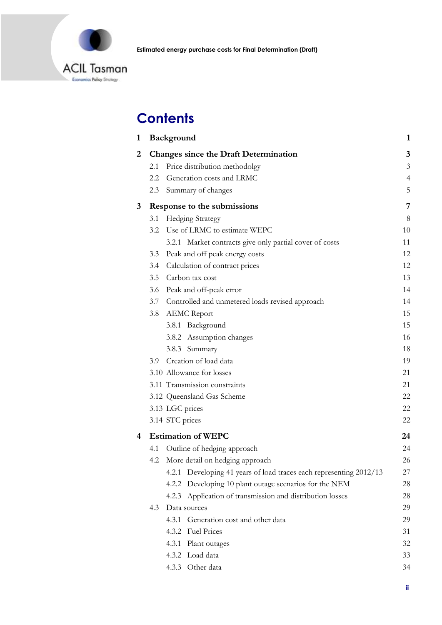

# **Contents**

| 1 |               | Background                                                         | 1              |
|---|---------------|--------------------------------------------------------------------|----------------|
| 2 |               | <b>Changes since the Draft Determination</b>                       | 3              |
|   | 2.1           | Price distribution methodolgy                                      | $\mathfrak{Z}$ |
|   | 2.2           | Generation costs and LRMC                                          | 4              |
|   | 2.3           | Summary of changes                                                 | 5              |
| 3 |               | Response to the submissions                                        | 7              |
|   | 3.1           | <b>Hedging Strategy</b>                                            | 8              |
|   | $3.2^{\circ}$ | Use of LRMC to estimate WEPC                                       | 10             |
|   |               | 3.2.1 Market contracts give only partial cover of costs            | 11             |
|   | 3.3           | Peak and off peak energy costs                                     | 12             |
|   | 3.4           | Calculation of contract prices                                     | 12             |
|   | 3.5           | Carbon tax cost                                                    | 13             |
|   | 3.6           | Peak and off-peak error                                            | 14             |
|   | 3.7           | Controlled and unmetered loads revised approach                    | 14             |
|   | 3.8           | <b>AEMC</b> Report                                                 | 15             |
|   |               | 3.8.1 Background                                                   | 15             |
|   |               | 3.8.2 Assumption changes                                           | 16             |
|   |               | 3.8.3 Summary                                                      | 18             |
|   | 3.9           | Creation of load data                                              | 19             |
|   |               | 3.10 Allowance for losses                                          | 21             |
|   |               | 3.11 Transmission constraints                                      | 21             |
|   |               | 3.12 Queensland Gas Scheme                                         | 22             |
|   |               | 3.13 LGC prices                                                    | 22             |
|   |               | 3.14 STC prices                                                    | 22             |
| 4 |               | <b>Estimation of WEPC</b>                                          | 24             |
|   | 4.1           | Outline of hedging approach                                        | 24             |
|   | 4.2           | More detail on hedging approach                                    | 26             |
|   |               | 4.2.1 Developing 41 years of load traces each representing 2012/13 | 27             |
|   |               | 4.2.2 Developing 10 plant outage scenarios for the NEM             | 28             |
|   |               | 4.2.3 Application of transmission and distribution losses          | 28             |
|   | 4.3           | Data sources                                                       | 29             |
|   |               | 4.3.1<br>Generation cost and other data                            | 29             |
|   |               | 4.3.2 Fuel Prices                                                  | 31             |
|   |               | 4.3.1 Plant outages                                                | 32             |
|   |               | 4.3.2 Load data                                                    | 33             |
|   |               | 4.3.3 Other data                                                   | 34             |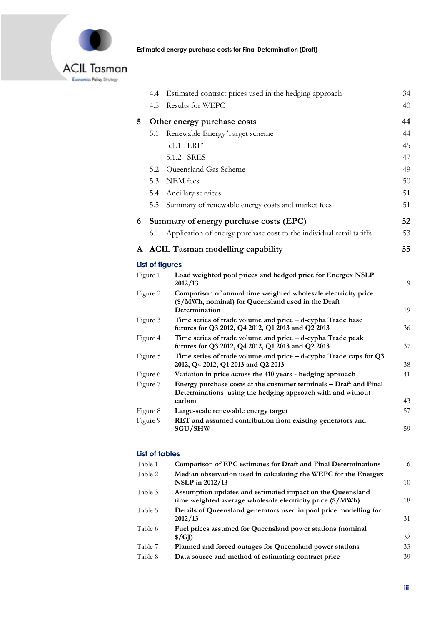

|   | 4.4      | Estimated contract prices used in the hedging approach                                                                                | 34 |
|---|----------|---------------------------------------------------------------------------------------------------------------------------------------|----|
|   | 4.5      | Results for WEPC                                                                                                                      | 40 |
| 5 |          | Other energy purchase costs                                                                                                           | 44 |
|   | 5.1      | Renewable Energy Target scheme                                                                                                        | 44 |
|   |          | 5.1.1 LRET                                                                                                                            | 45 |
|   |          | 5.1.2 SRES                                                                                                                            | 47 |
|   | 5.2      | Queensland Gas Scheme                                                                                                                 | 49 |
|   | 5.3      | NEM fees                                                                                                                              | 50 |
|   | 5.4      | Ancillary services                                                                                                                    | 51 |
|   | 5.5      | Summary of renewable energy costs and market fees                                                                                     | 51 |
| 6 |          | Summary of energy purchase costs (EPC)                                                                                                | 52 |
|   | 6.1      | Application of energy purchase cost to the individual retail tariffs                                                                  | 53 |
|   |          | A ACIL Tasman modelling capability                                                                                                    | 55 |
|   |          | <b>List of figures</b>                                                                                                                |    |
|   | Figure 1 | Load weighted pool prices and hedged price for Energex NSLP<br>2012/13                                                                | 9  |
|   | Figure 2 | Comparison of annual time weighted wholesale electricity price<br>(\$/MWh, nominal) for Queensland used in the Draft<br>Determination | 19 |
|   | Figure 3 | Time series of trade volume and price - d-cypha Trade base                                                                            |    |
|   |          | futures for Q3 2012, Q4 2012, Q1 2013 and Q2 2013                                                                                     | 36 |
|   | Figure 4 | Time series of trade volume and price - d-cypha Trade peak<br>futures for Q3 2012, Q4 2012, Q1 2013 and Q2 2013                       | 37 |
|   | Figure 5 | Time series of trade volume and price $-$ d-cypha Trade caps for $Q3$<br>2012, Q4 2012, Q1 2013 and Q2 2013                           | 38 |
|   | Figure 6 | Variation in price across the 410 years - hedging approach                                                                            | 41 |
|   | Figure 7 | Energy purchase costs at the customer terminals - Draft and Final<br>Determinations using the hedging approach with and without       |    |
|   |          | carbon                                                                                                                                | 43 |
|   | Figure 8 | Large-scale renewable energy target                                                                                                   | 57 |
|   | Figure 9 | RET and assumed contribution from existing generators and<br><b>SGU/SHW</b>                                                           | 59 |

## **List of tables**

| Table 1 | <b>Comparison of EPC estimates for Draft and Final Determinations</b>                                                   | 6  |
|---------|-------------------------------------------------------------------------------------------------------------------------|----|
| Table 2 | Median observation used in calculating the WEPC for the Energex<br>NSLP in 2012/13                                      | 10 |
| Table 3 | Assumption updates and estimated impact on the Queensland<br>time weighted average wholesale electricity price (\$/MWh) | 18 |
| Table 5 | Details of Queensland generators used in pool price modelling for<br>2012/13                                            | 31 |
| Table 6 | Fuel prices assumed for Queensland power stations (nominal<br>\$/GI)                                                    | 32 |
| Table 7 | Planned and forced outages for Queensland power stations                                                                | 33 |
| Table 8 | Data source and method of estimating contract price                                                                     | 39 |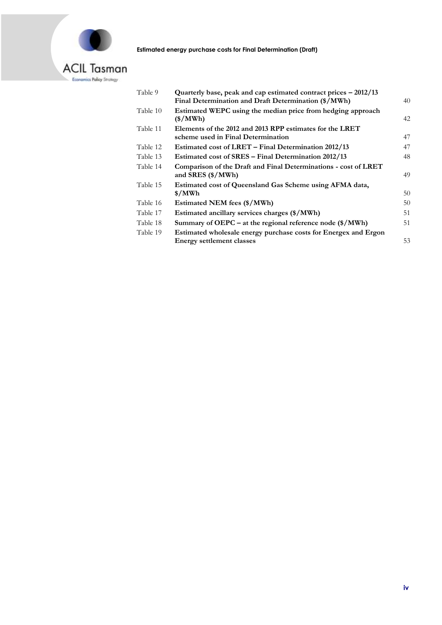

| Table 9  | Quarterly base, peak and cap estimated contract prices – 2012/13      |    |
|----------|-----------------------------------------------------------------------|----|
|          | Final Determination and Draft Determination (\$/MWh)                  | 40 |
| Table 10 | Estimated WEPC using the median price from hedging approach           |    |
|          | $(\$/MWh)$                                                            | 42 |
| Table 11 | Elements of the 2012 and 2013 RPP estimates for the LRET              |    |
|          | scheme used in Final Determination                                    | 47 |
| Table 12 | Estimated cost of LRET – Final Determination 2012/13                  | 47 |
| Table 13 | Estimated cost of SRES – Final Determination 2012/13                  | 48 |
| Table 14 | Comparison of the Draft and Final Determinations - cost of LRET       |    |
|          | and SRES (\$/MWh)                                                     | 49 |
| Table 15 | Estimated cost of Queensland Gas Scheme using AFMA data,              |    |
|          | \$/MWh                                                                | 50 |
| Table 16 | Estimated NEM fees (\$/MWh)                                           | 50 |
| Table 17 | Estimated ancillary services charges (\$/MWh)                         | 51 |
| Table 18 | Summary of OEPC – at the regional reference node $(\frac{1}{2}$ /MWh) | 51 |
| Table 19 | Estimated wholesale energy purchase costs for Energex and Ergon       |    |
|          | <b>Energy settlement classes</b>                                      | 53 |
|          |                                                                       |    |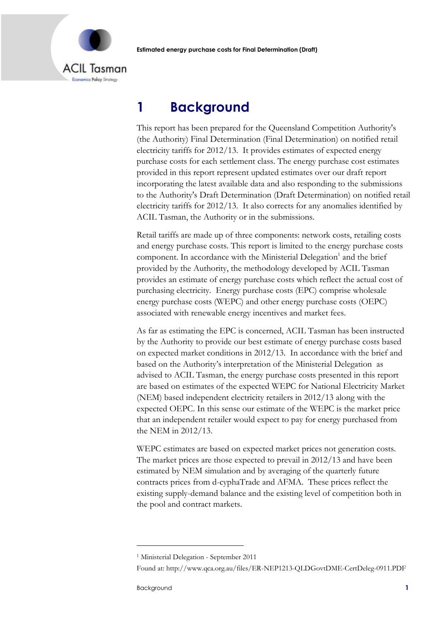

# <span id="page-5-0"></span>**1 Background**

This report has been prepared for the Queensland Competition Authority's (the Authority) Final Determination (Final Determination) on notified retail electricity tariffs for 2012/13. It provides estimates of expected energy purchase costs for each settlement class. The energy purchase cost estimates provided in this report represent updated estimates over our draft report incorporating the latest available data and also responding to the submissions to the Authority's Draft Determination (Draft Determination) on notified retail electricity tariffs for 2012/13. It also corrects for any anomalies identified by ACIL Tasman, the Authority or in the submissions.

Retail tariffs are made up of three components: network costs, retailing costs and energy purchase costs. This report is limited to the energy purchase costs component. In accordance with the Ministerial Delegation<sup>1</sup> and the brief provided by the Authority, the methodology developed by ACIL Tasman provides an estimate of energy purchase costs which reflect the actual cost of purchasing electricity. Energy purchase costs (EPC) comprise wholesale energy purchase costs (WEPC) and other energy purchase costs (OEPC) associated with renewable energy incentives and market fees.

As far as estimating the EPC is concerned, ACIL Tasman has been instructed by the Authority to provide our best estimate of energy purchase costs based on expected market conditions in 2012/13. In accordance with the brief and based on the Authority's interpretation of the Ministerial Delegation as advised to ACIL Tasman, the energy purchase costs presented in this report are based on estimates of the expected WEPC for National Electricity Market (NEM) based independent electricity retailers in 2012/13 along with the expected OEPC. In this sense our estimate of the WEPC is the market price that an independent retailer would expect to pay for energy purchased from the NEM in 2012/13.

WEPC estimates are based on expected market prices not generation costs. The market prices are those expected to prevail in 2012/13 and have been estimated by NEM simulation and by averaging of the quarterly future contracts prices from d-cyphaTrade and AFMA. These prices reflect the existing supply-demand balance and the existing level of competition both in the pool and contract markets.

-

<sup>1</sup> Ministerial Delegation - September 2011

Found at: http://www.qca.org.au/files/ER-NEP1213-QLDGovtDME-CertDeleg-0911.PDF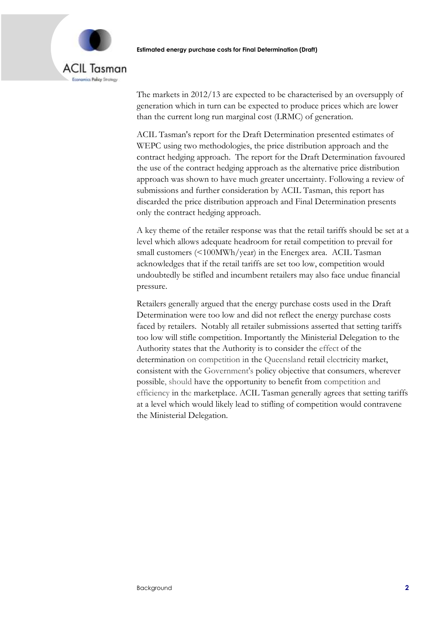

The markets in 2012/13 are expected to be characterised by an oversupply of generation which in turn can be expected to produce prices which are lower than the current long run marginal cost (LRMC) of generation.

ACIL Tasman's report for the Draft Determination presented estimates of WEPC using two methodologies, the price distribution approach and the contract hedging approach. The report for the Draft Determination favoured the use of the contract hedging approach as the alternative price distribution approach was shown to have much greater uncertainty. Following a review of submissions and further consideration by ACIL Tasman, this report has discarded the price distribution approach and Final Determination presents only the contract hedging approach.

A key theme of the retailer response was that the retail tariffs should be set at a level which allows adequate headroom for retail competition to prevail for small customers (<100MWh/year) in the Energex area. ACIL Tasman acknowledges that if the retail tariffs are set too low, competition would undoubtedly be stifled and incumbent retailers may also face undue financial pressure.

Retailers generally argued that the energy purchase costs used in the Draft Determination were too low and did not reflect the energy purchase costs faced by retailers. Notably all retailer submissions asserted that setting tariffs too low will stifle competition. Importantly the Ministerial Delegation to the Authority states that the Authority is to consider the effect of the determination on competition in the Queensland retail electricity market, consistent with the Government's policy objective that consumers, wherever possible, should have the opportunity to benefit from competition and efficiency in the marketplace. ACIL Tasman generally agrees that setting tariffs at a level which would likely lead to stifling of competition would contravene the Ministerial Delegation.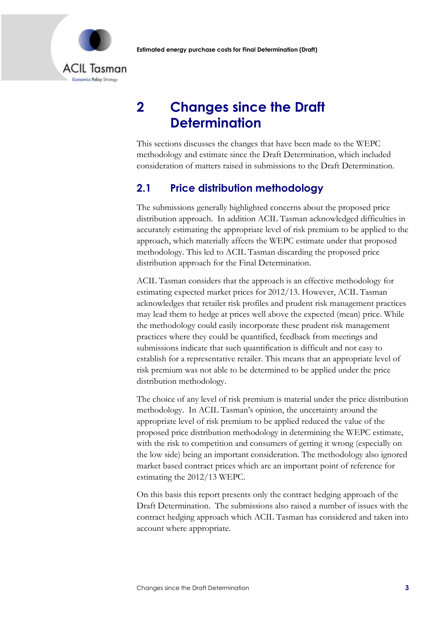

# <span id="page-7-0"></span>**2 Changes since the Draft Determination**

This sections discusses the changes that have been made to the WEPC methodology and estimate since the Draft Determination, which included consideration of matters raised in submissions to the Draft Determination.

# <span id="page-7-1"></span>**2.1 Price distribution methodology**

The submissions generally highlighted concerns about the proposed price distribution approach. In addition ACIL Tasman acknowledged difficulties in accurately estimating the appropriate level of risk premium to be applied to the approach, which materially affects the WEPC estimate under that proposed methodology. This led to ACIL Tasman discarding the proposed price distribution approach for the Final Determination.

ACIL Tasman considers that the approach is an effective methodology for estimating expected market prices for 2012/13. However, ACIL Tasman acknowledges that retailer risk profiles and prudent risk management practices may lead them to hedge at prices well above the expected (mean) price. While the methodology could easily incorporate these prudent risk management practices where they could be quantified, feedback from meetings and submissions indicate that such quantification is difficult and not easy to establish for a representative retailer. This means that an appropriate level of risk premium was not able to be determined to be applied under the price distribution methodology.

The choice of any level of risk premium is material under the price distribution methodology. In ACIL Tasman's opinion, the uncertainty around the appropriate level of risk premium to be applied reduced the value of the proposed price distribution methodology in determining the WEPC estimate, with the risk to competition and consumers of getting it wrong (especially on the low side) being an important consideration. The methodology also ignored market based contract prices which are an important point of reference for estimating the 2012/13 WEPC.

On this basis this report presents only the contract hedging approach of the Draft Determination. The submissions also raised a number of issues with the contract hedging approach which ACIL Tasman has considered and taken into account where appropriate.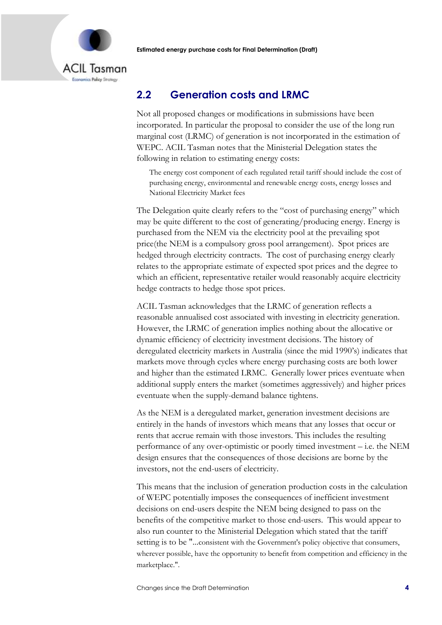

## <span id="page-8-0"></span>**2.2 Generation costs and LRMC**

Not all proposed changes or modifications in submissions have been incorporated. In particular the proposal to consider the use of the long run marginal cost (LRMC) of generation is not incorporated in the estimation of WEPC. ACIL Tasman notes that the Ministerial Delegation states the following in relation to estimating energy costs:

The energy cost component of each regulated retail tariff should include the cost of purchasing energy, environmental and renewable energy costs, energy losses and National Electricity Market fees

The Delegation quite clearly refers to the "cost of purchasing energy" which may be quite different to the cost of generating/producing energy. Energy is purchased from the NEM via the electricity pool at the prevailing spot price(the NEM is a compulsory gross pool arrangement). Spot prices are hedged through electricity contracts. The cost of purchasing energy clearly relates to the appropriate estimate of expected spot prices and the degree to which an efficient, representative retailer would reasonably acquire electricity hedge contracts to hedge those spot prices.

ACIL Tasman acknowledges that the LRMC of generation reflects a reasonable annualised cost associated with investing in electricity generation. However, the LRMC of generation implies nothing about the allocative or dynamic efficiency of electricity investment decisions. The history of deregulated electricity markets in Australia (since the mid 1990's) indicates that markets move through cycles where energy purchasing costs are both lower and higher than the estimated LRMC. Generally lower prices eventuate when additional supply enters the market (sometimes aggressively) and higher prices eventuate when the supply-demand balance tightens.

As the NEM is a deregulated market, generation investment decisions are entirely in the hands of investors which means that any losses that occur or rents that accrue remain with those investors. This includes the resulting performance of any over-optimistic or poorly timed investment – i.e. the NEM design ensures that the consequences of those decisions are borne by the investors, not the end-users of electricity.

This means that the inclusion of generation production costs in the calculation of WEPC potentially imposes the consequences of inefficient investment decisions on end-users despite the NEM being designed to pass on the benefits of the competitive market to those end-users. This would appear to also run counter to the Ministerial Delegation which stated that the tariff setting is to be "...consistent with the Government's policy objective that consumers, wherever possible, have the opportunity to benefit from competition and efficiency in the marketplace.".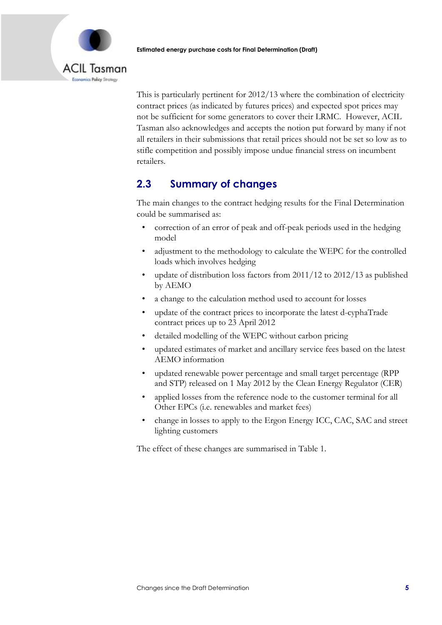

This is particularly pertinent for 2012/13 where the combination of electricity contract prices (as indicated by futures prices) and expected spot prices may not be sufficient for some generators to cover their LRMC. However, ACIL Tasman also acknowledges and accepts the notion put forward by many if not all retailers in their submissions that retail prices should not be set so low as to stifle competition and possibly impose undue financial stress on incumbent retailers.

# <span id="page-9-0"></span>**2.3 Summary of changes**

The main changes to the contract hedging results for the Final Determination could be summarised as:

- correction of an error of peak and off-peak periods used in the hedging model
- adjustment to the methodology to calculate the WEPC for the controlled loads which involves hedging
- update of distribution loss factors from 2011/12 to 2012/13 as published by AEMO
- a change to the calculation method used to account for losses
- update of the contract prices to incorporate the latest d-cyphaTrade contract prices up to 23 April 2012
- detailed modelling of the WEPC without carbon pricing
- updated estimates of market and ancillary service fees based on the latest AEMO information
- updated renewable power percentage and small target percentage (RPP and STP) released on 1 May 2012 by the Clean Energy Regulator (CER)
- applied losses from the reference node to the customer terminal for all Other EPCs (i.e. renewables and market fees)
- change in losses to apply to the Ergon Energy ICC, CAC, SAC and street lighting customers

The effect of these changes are summarised in [Table 1.](#page-10-0)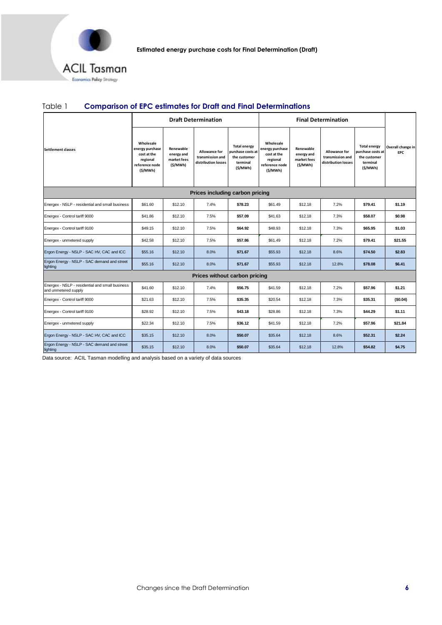

<span id="page-10-0"></span>

| <b>Comparison of EPC estimates for Draft and Final Determinations</b><br>Table 1 |                                                                                       |                                                    |                                                                 |                                                                                  |                                                                                      |                                                    |                                                          |                                                                                  |                                 |
|----------------------------------------------------------------------------------|---------------------------------------------------------------------------------------|----------------------------------------------------|-----------------------------------------------------------------|----------------------------------------------------------------------------------|--------------------------------------------------------------------------------------|----------------------------------------------------|----------------------------------------------------------|----------------------------------------------------------------------------------|---------------------------------|
|                                                                                  | <b>Draft Determination</b>                                                            |                                                    |                                                                 | <b>Final Determination</b>                                                       |                                                                                      |                                                    |                                                          |                                                                                  |                                 |
| Settlement classes                                                               | Wholesale<br>energy purchase<br>cost at the<br>regional<br>reference node<br>(\$/MWh) | Renewable<br>energy and<br>market fees<br>(\$/MWh) | <b>Allowance for</b><br>transmission and<br>distribution losses | <b>Total energy</b><br>purchase costs at<br>the customer<br>terminal<br>(\$/MWh) | Wholesale<br>energy purchase<br>cost at the<br>regional<br>reference node<br>(S/MWh) | Renewable<br>energy and<br>market fees<br>(\$/MWh) | Allowance for<br>transmission and<br>distribution losses | <b>Total energy</b><br>purchase costs at<br>the customer<br>terminal<br>(\$/MWh) | Overall change in<br><b>EPC</b> |
|                                                                                  |                                                                                       |                                                    | Prices including carbon pricing                                 |                                                                                  |                                                                                      |                                                    |                                                          |                                                                                  |                                 |
| Energex - NSLP - residential and small business                                  | \$61.60                                                                               | \$12.10                                            | 7.4%                                                            | \$78.23                                                                          | \$61.49                                                                              | \$12.18                                            | 7.2%                                                     | \$79.41                                                                          | \$1.19                          |
| Energex - Control tariff 9000                                                    | \$41.86                                                                               | \$12.10                                            | 7.5%                                                            | \$57.09                                                                          | \$41.63                                                                              | \$12.18                                            | 7.3%                                                     | \$58.07                                                                          | \$0.98                          |
| Energex - Control tariff 9100                                                    | \$49.15                                                                               | \$12.10                                            | 7.5%                                                            | \$64.92                                                                          | \$48.93                                                                              | \$12.18                                            | 7.3%                                                     | \$65.95                                                                          | \$1.03                          |
| Energex - unmetered supply                                                       | \$42.58                                                                               | \$12.10                                            | 7.5%                                                            | \$57.86                                                                          | \$61.49                                                                              | \$12.18                                            | 7.2%                                                     | \$79.41                                                                          | \$21.55                         |
| Ergon Energy - NSLP - SAC HV, CAC and ICC                                        | \$55.16                                                                               | \$12.10                                            | 8.0%                                                            | \$71.67                                                                          | \$55.93                                                                              | \$12.18                                            | 8.6%                                                     | \$74.50                                                                          | \$2.83                          |
| Ergon Energy - NSLP - SAC demand and street<br>lighting                          | \$55.16                                                                               | \$12.10                                            | 8.0%                                                            | \$71.67                                                                          | \$55.93                                                                              | \$12.18                                            | 12.8%                                                    | \$78.08                                                                          | \$6.41                          |
|                                                                                  |                                                                                       |                                                    | Prices without carbon pricing                                   |                                                                                  |                                                                                      |                                                    |                                                          |                                                                                  |                                 |
| Energex - NSLP - residential and small business<br>and unmetered supply          | \$41.60                                                                               | \$12.10                                            | 7.4%                                                            | \$56.75                                                                          | \$41.59                                                                              | \$12.18                                            | 7.2%                                                     | \$57.96                                                                          | \$1.21                          |
| Energex - Control tariff 9000                                                    | \$21.63                                                                               | \$12.10                                            | 7.5%                                                            | \$35.35                                                                          | \$20.54                                                                              | \$12.18                                            | 7.3%                                                     | \$35.31                                                                          | (\$0.04)                        |
| Energex - Control tariff 9100                                                    | \$28.92                                                                               | \$12.10                                            | 7.5%                                                            | \$43.18                                                                          | \$28.86                                                                              | \$12.18                                            | 7.3%                                                     | \$44.29                                                                          | \$1.11                          |
| Energex - unmetered supply                                                       | \$22.34                                                                               | \$12.10                                            | 7.5%                                                            | \$36.12                                                                          | \$41.59                                                                              | \$12.18                                            | 7.2%                                                     | \$57.96                                                                          | \$21.84                         |
| Ergon Energy - NSLP - SAC HV, CAC and ICC                                        | \$35.15                                                                               | \$12.10                                            | 8.0%                                                            | \$50.07                                                                          | \$35.64                                                                              | \$12.18                                            | 8.6%                                                     | \$52.31                                                                          | \$2.24                          |
| Ergon Energy - NSLP - SAC demand and street<br>lighting                          | \$35.15                                                                               | \$12.10                                            | 8.0%                                                            | \$50.07                                                                          | \$35.64                                                                              | \$12.18                                            | 12.8%                                                    | \$54.82                                                                          | \$4.75                          |

Data source:ACIL Tasman modelling and analysis based on a variety of data sources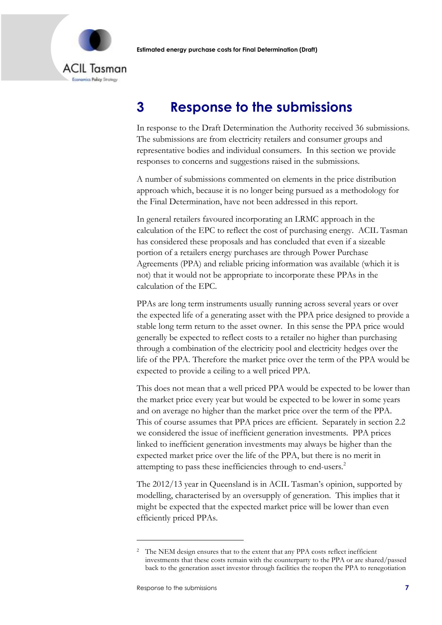



# <span id="page-11-0"></span>**3 Response to the submissions**

In response to the Draft Determination the Authority received 36 submissions. The submissions are from electricity retailers and consumer groups and representative bodies and individual consumers. In this section we provide responses to concerns and suggestions raised in the submissions.

A number of submissions commented on elements in the price distribution approach which, because it is no longer being pursued as a methodology for the Final Determination, have not been addressed in this report.

In general retailers favoured incorporating an LRMC approach in the calculation of the EPC to reflect the cost of purchasing energy. ACIL Tasman has considered these proposals and has concluded that even if a sizeable portion of a retailers energy purchases are through Power Purchase Agreements (PPA) and reliable pricing information was available (which it is not) that it would not be appropriate to incorporate these PPAs in the calculation of the EPC.

PPAs are long term instruments usually running across several years or over the expected life of a generating asset with the PPA price designed to provide a stable long term return to the asset owner. In this sense the PPA price would generally be expected to reflect costs to a retailer no higher than purchasing through a combination of the electricity pool and electricity hedges over the life of the PPA. Therefore the market price over the term of the PPA would be expected to provide a ceiling to a well priced PPA.

This does not mean that a well priced PPA would be expected to be lower than the market price every year but would be expected to be lower in some years and on average no higher than the market price over the term of the PPA. This of course assumes that PPA prices are efficient. Separately in section [2.2](#page-8-0) we considered the issue of inefficient generation investments. PPA prices linked to inefficient generation investments may always be higher than the expected market price over the life of the PPA, but there is no merit in attempting to pass these inefficiencies through to end-users.<sup>2</sup>

The 2012/13 year in Queensland is in ACIL Tasman's opinion, supported by modelling, characterised by an oversupply of generation. This implies that it might be expected that the expected market price will be lower than even efficiently priced PPAs.

-

<sup>&</sup>lt;sup>2</sup> The NEM design ensures that to the extent that any PPA costs reflect inefficient investments that these costs remain with the counterparty to the PPA or are shared/passed back to the generation asset investor through facilities the reopen the PPA to renegotiation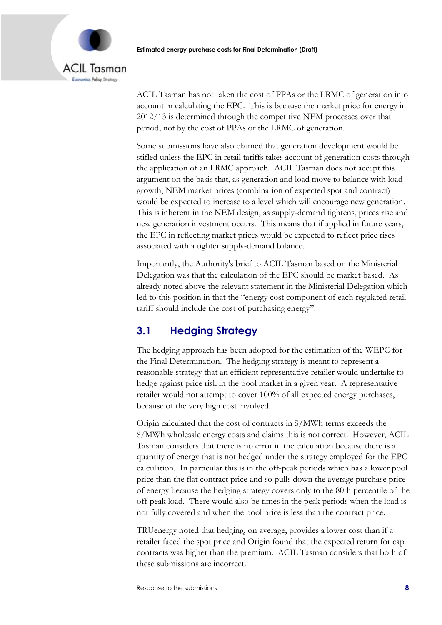

ACIL Tasman has not taken the cost of PPAs or the LRMC of generation into account in calculating the EPC. This is because the market price for energy in 2012/13 is determined through the competitive NEM processes over that period, not by the cost of PPAs or the LRMC of generation.

Some submissions have also claimed that generation development would be stifled unless the EPC in retail tariffs takes account of generation costs through the application of an LRMC approach. ACIL Tasman does not accept this argument on the basis that, as generation and load move to balance with load growth, NEM market prices (combination of expected spot and contract) would be expected to increase to a level which will encourage new generation. This is inherent in the NEM design, as supply-demand tightens, prices rise and new generation investment occurs. This means that if applied in future years, the EPC in reflecting market prices would be expected to reflect price rises associated with a tighter supply-demand balance.

Importantly, the Authority's brief to ACIL Tasman based on the Ministerial Delegation was that the calculation of the EPC should be market based. As already noted above the relevant statement in the Ministerial Delegation which led to this position in that the "energy cost component of each regulated retail tariff should include the cost of purchasing energy".

# <span id="page-12-0"></span>**3.1 Hedging Strategy**

The hedging approach has been adopted for the estimation of the WEPC for the Final Determination. The hedging strategy is meant to represent a reasonable strategy that an efficient representative retailer would undertake to hedge against price risk in the pool market in a given year. A representative retailer would not attempt to cover 100% of all expected energy purchases, because of the very high cost involved.

Origin calculated that the cost of contracts in \$/MWh terms exceeds the \$/MWh wholesale energy costs and claims this is not correct. However, ACIL Tasman considers that there is no error in the calculation because there is a quantity of energy that is not hedged under the strategy employed for the EPC calculation. In particular this is in the off-peak periods which has a lower pool price than the flat contract price and so pulls down the average purchase price of energy because the hedging strategy covers only to the 80th percentile of the off-peak load. There would also be times in the peak periods when the load is not fully covered and when the pool price is less than the contract price.

TRUenergy noted that hedging, on average, provides a lower cost than if a retailer faced the spot price and Origin found that the expected return for cap contracts was higher than the premium. ACIL Tasman considers that both of these submissions are incorrect.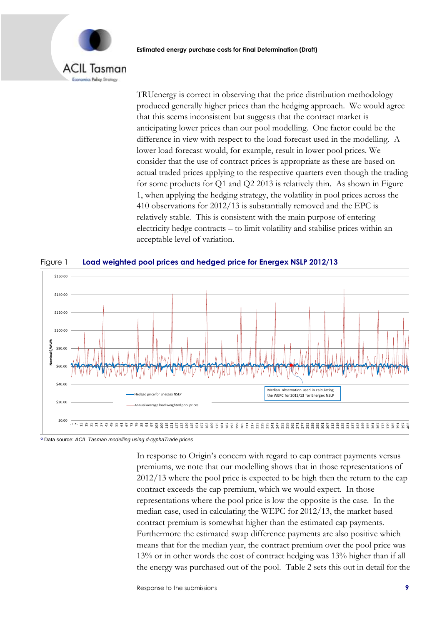

TRUenergy is correct in observing that the price distribution methodology produced generally higher prices than the hedging approach. We would agree that this seems inconsistent but suggests that the contract market is anticipating lower prices than our pool modelling. One factor could be the difference in view with respect to the load forecast used in the modelling. A lower load forecast would, for example, result in lower pool prices. We consider that the use of contract prices is appropriate as these are based on actual traded prices applying to the respective quarters even though the trading for some products for Q1 and Q2 2013 is relatively thin. As shown in [Figure](#page-13-0)  [1,](#page-13-0) when applying the hedging strategy, the volatility in pool prices across the 410 observations for 2012/13 is substantially removed and the EPC is relatively stable. This is consistent with the main purpose of entering electricity hedge contracts – to limit volatility and stabilise prices within an acceptable level of variation.



<span id="page-13-0"></span>Figure 1 **Load weighted pool prices and hedged price for Energex NSLP 2012/13**

**<sup>a</sup>** Data source: *ACIL Tasman modelling using d-cyphaTrade prices*

In response to Origin's concern with regard to cap contract payments versus premiums, we note that our modelling shows that in those representations of 2012/13 where the pool price is expected to be high then the return to the cap contract exceeds the cap premium, which we would expect. In those representations where the pool price is low the opposite is the case. In the median case, used in calculating the WEPC for 2012/13, the market based contract premium is somewhat higher than the estimated cap payments. Furthermore the estimated swap difference payments are also positive which means that for the median year, the contract premium over the pool price was 13% or in other words the cost of contract hedging was 13% higher than if all the energy was purchased out of the pool. [Table 2](#page-14-1) sets this out in detail for the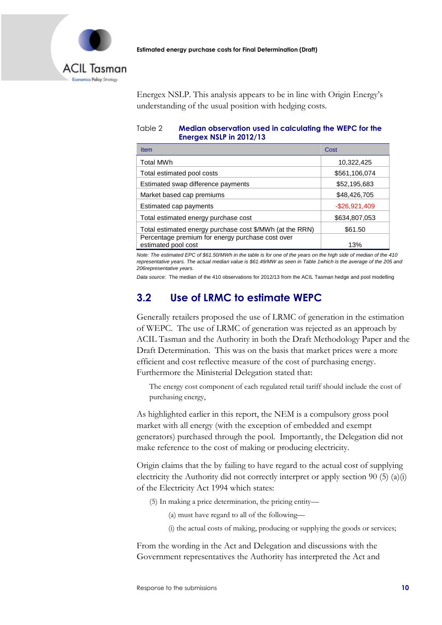

Energex NSLP. This analysis appears to be in line with Origin Energy's understanding of the usual position with hedging costs.

#### <span id="page-14-1"></span>Table 2 **Median observation used in calculating the WEPC for the Energex NSLP in 2012/13**

| Item                                                     | Cost             |
|----------------------------------------------------------|------------------|
| <b>Total MWh</b>                                         | 10,322,425       |
| Total estimated pool costs                               | \$561,106,074    |
| Estimated swap difference payments                       | \$52,195,683     |
| Market based cap premiums                                | \$48,426,705     |
| Estimated cap payments                                   | $-$ \$26,921,409 |
| Total estimated energy purchase cost                     | \$634,807,053    |
| Total estimated energy purchase cost \$/MWh (at the RRN) | \$61.50          |
| Percentage premium for energy purchase cost over         |                  |
| estimated pool cost                                      | 13%              |

*Note: The estimated EPC of \$61.50/MWh in the table is for one of the years on the high side of median of the 410 representative years. The actual median value is \$61.49/MW as seen i[n Table 1w](#page-10-0)hich is the average of the 205 and 206representative years.*

*Data source:* The median of the 410 observations for 2012/13 from the ACIL Tasman hedge and pool modelling

## <span id="page-14-0"></span>**3.2 Use of LRMC to estimate WEPC**

Generally retailers proposed the use of LRMC of generation in the estimation of WEPC. The use of LRMC of generation was rejected as an approach by ACIL Tasman and the Authority in both the Draft Methodology Paper and the Draft Determination. This was on the basis that market prices were a more efficient and cost reflective measure of the cost of purchasing energy. Furthermore the Ministerial Delegation stated that:

The energy cost component of each regulated retail tariff should include the cost of purchasing energy,

As highlighted earlier in this report, the NEM is a compulsory gross pool market with all energy (with the exception of embedded and exempt generators) purchased through the pool. Importantly, the Delegation did not make reference to the cost of making or producing electricity.

Origin claims that the by failing to have regard to the actual cost of supplying electricity the Authority did not correctly interpret or apply section 90 (5) (a)(i) of the Electricity Act 1994 which states:

- (5) In making a price determination, the pricing entity—
	- (a) must have regard to all of the following—
	- (i) the actual costs of making, producing or supplying the goods or services;

From the wording in the Act and Delegation and discussions with the Government representatives the Authority has interpreted the Act and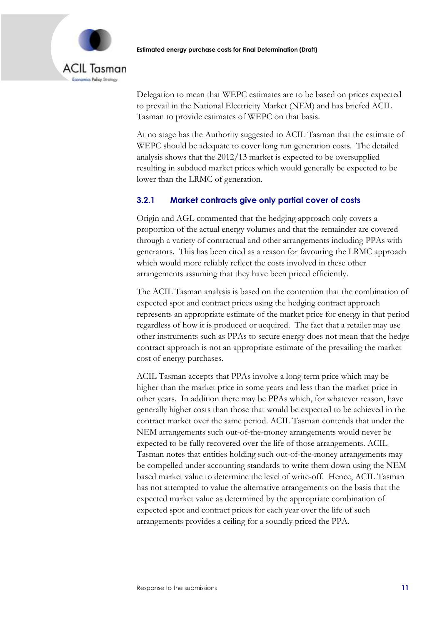



Delegation to mean that WEPC estimates are to be based on prices expected to prevail in the National Electricity Market (NEM) and has briefed ACIL Tasman to provide estimates of WEPC on that basis.

At no stage has the Authority suggested to ACIL Tasman that the estimate of WEPC should be adequate to cover long run generation costs. The detailed analysis shows that the 2012/13 market is expected to be oversupplied resulting in subdued market prices which would generally be expected to be lower than the LRMC of generation.

## <span id="page-15-0"></span>**3.2.1 Market contracts give only partial cover of costs**

Origin and AGL commented that the hedging approach only covers a proportion of the actual energy volumes and that the remainder are covered through a variety of contractual and other arrangements including PPAs with generators. This has been cited as a reason for favouring the LRMC approach which would more reliably reflect the costs involved in these other arrangements assuming that they have been priced efficiently.

The ACIL Tasman analysis is based on the contention that the combination of expected spot and contract prices using the hedging contract approach represents an appropriate estimate of the market price for energy in that period regardless of how it is produced or acquired. The fact that a retailer may use other instruments such as PPAs to secure energy does not mean that the hedge contract approach is not an appropriate estimate of the prevailing the market cost of energy purchases.

ACIL Tasman accepts that PPAs involve a long term price which may be higher than the market price in some years and less than the market price in other years. In addition there may be PPAs which, for whatever reason, have generally higher costs than those that would be expected to be achieved in the contract market over the same period. ACIL Tasman contends that under the NEM arrangements such out-of-the-money arrangements would never be expected to be fully recovered over the life of those arrangements. ACIL Tasman notes that entities holding such out-of-the-money arrangements may be compelled under accounting standards to write them down using the NEM based market value to determine the level of write-off. Hence, ACIL Tasman has not attempted to value the alternative arrangements on the basis that the expected market value as determined by the appropriate combination of expected spot and contract prices for each year over the life of such arrangements provides a ceiling for a soundly priced the PPA.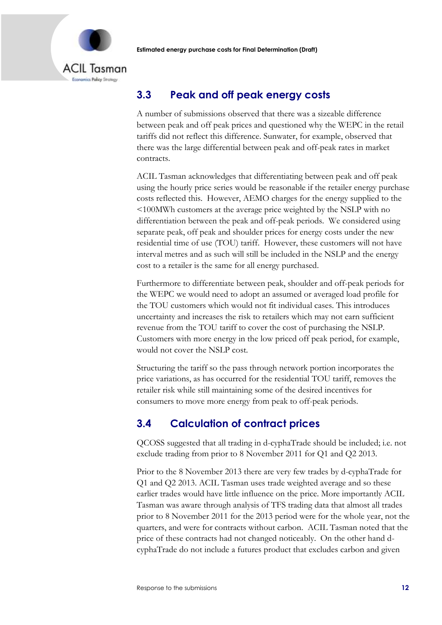



# <span id="page-16-0"></span>**3.3 Peak and off peak energy costs**

A number of submissions observed that there was a sizeable difference between peak and off peak prices and questioned why the WEPC in the retail tariffs did not reflect this difference. Sunwater, for example, observed that there was the large differential between peak and off-peak rates in market contracts.

ACIL Tasman acknowledges that differentiating between peak and off peak using the hourly price series would be reasonable if the retailer energy purchase costs reflected this. However, AEMO charges for the energy supplied to the <100MWh customers at the average price weighted by the NSLP with no differentiation between the peak and off-peak periods. We considered using separate peak, off peak and shoulder prices for energy costs under the new residential time of use (TOU) tariff. However, these customers will not have interval metres and as such will still be included in the NSLP and the energy cost to a retailer is the same for all energy purchased.

Furthermore to differentiate between peak, shoulder and off-peak periods for the WEPC we would need to adopt an assumed or averaged load profile for the TOU customers which would not fit individual cases. This introduces uncertainty and increases the risk to retailers which may not earn sufficient revenue from the TOU tariff to cover the cost of purchasing the NSLP. Customers with more energy in the low priced off peak period, for example, would not cover the NSLP cost.

Structuring the tariff so the pass through network portion incorporates the price variations, as has occurred for the residential TOU tariff, removes the retailer risk while still maintaining some of the desired incentives for consumers to move more energy from peak to off-peak periods.

# <span id="page-16-1"></span>**3.4 Calculation of contract prices**

QCOSS suggested that all trading in d-cyphaTrade should be included; i.e. not exclude trading from prior to 8 November 2011 for Q1 and Q2 2013.

Prior to the 8 November 2013 there are very few trades by d-cyphaTrade for Q1 and Q2 2013. ACIL Tasman uses trade weighted average and so these earlier trades would have little influence on the price. More importantly ACIL Tasman was aware through analysis of TFS trading data that almost all trades prior to 8 November 2011 for the 2013 period were for the whole year, not the quarters, and were for contracts without carbon. ACIL Tasman noted that the price of these contracts had not changed noticeably. On the other hand dcyphaTrade do not include a futures product that excludes carbon and given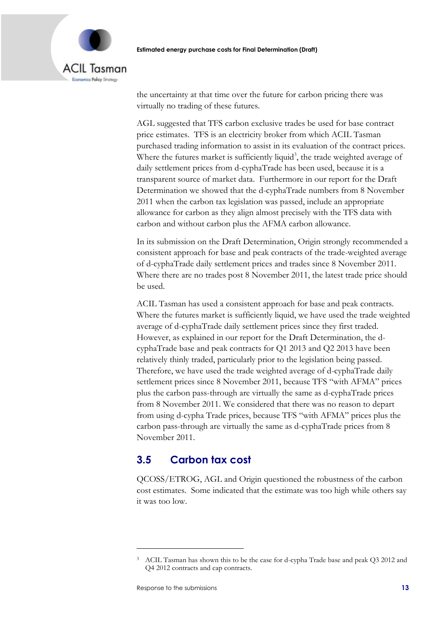

the uncertainty at that time over the future for carbon pricing there was virtually no trading of these futures.

AGL suggested that TFS carbon exclusive trades be used for base contract price estimates. TFS is an electricity broker from which ACIL Tasman purchased trading information to assist in its evaluation of the contract prices. Where the futures market is sufficiently liquid<sup>3</sup>, the trade weighted average of daily settlement prices from d-cyphaTrade has been used, because it is a transparent source of market data. Furthermore in our report for the Draft Determination we showed that the d-cyphaTrade numbers from 8 November 2011 when the carbon tax legislation was passed, include an appropriate allowance for carbon as they align almost precisely with the TFS data with carbon and without carbon plus the AFMA carbon allowance.

In its submission on the Draft Determination, Origin strongly recommended a consistent approach for base and peak contracts of the trade-weighted average of d-cyphaTrade daily settlement prices and trades since 8 November 2011. Where there are no trades post 8 November 2011, the latest trade price should be used.

ACIL Tasman has used a consistent approach for base and peak contracts. Where the futures market is sufficiently liquid, we have used the trade weighted average of d-cyphaTrade daily settlement prices since they first traded. However, as explained in our report for the Draft Determination, the dcyphaTrade base and peak contracts for Q1 2013 and Q2 2013 have been relatively thinly traded, particularly prior to the legislation being passed. Therefore, we have used the trade weighted average of d-cyphaTrade daily settlement prices since 8 November 2011, because TFS "with AFMA" prices plus the carbon pass-through are virtually the same as d-cyphaTrade prices from 8 November 2011. We considered that there was no reason to depart from using d-cypha Trade prices, because TFS "with AFMA" prices plus the carbon pass-through are virtually the same as d-cyphaTrade prices from 8 November 2011.

# <span id="page-17-0"></span>**3.5 Carbon tax cost**

QCOSS/ETROG, AGL and Origin questioned the robustness of the carbon cost estimates. Some indicated that the estimate was too high while others say it was too low.

-

<sup>&</sup>lt;sup>3</sup> ACIL Tasman has shown this to be the case for d-cypha Trade base and peak Q3 2012 and Q4 2012 contracts and cap contracts.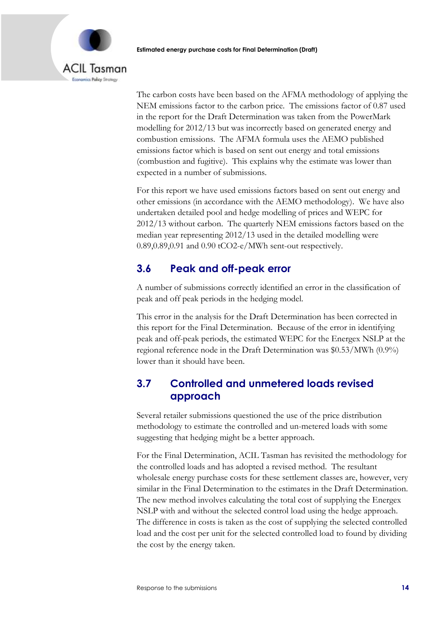

The carbon costs have been based on the AFMA methodology of applying the NEM emissions factor to the carbon price. The emissions factor of 0.87 used in the report for the Draft Determination was taken from the PowerMark modelling for 2012/13 but was incorrectly based on generated energy and combustion emissions. The AFMA formula uses the AEMO published emissions factor which is based on sent out energy and total emissions (combustion and fugitive). This explains why the estimate was lower than expected in a number of submissions.

For this report we have used emissions factors based on sent out energy and other emissions (in accordance with the AEMO methodology). We have also undertaken detailed pool and hedge modelling of prices and WEPC for 2012/13 without carbon. The quarterly NEM emissions factors based on the median year representing 2012/13 used in the detailed modelling were 0.89,0.89,0.91 and 0.90 tCO2-e/MWh sent-out respectively.

# <span id="page-18-0"></span>**3.6 Peak and off-peak error**

A number of submissions correctly identified an error in the classification of peak and off peak periods in the hedging model.

This error in the analysis for the Draft Determination has been corrected in this report for the Final Determination. Because of the error in identifying peak and off-peak periods, the estimated WEPC for the Energex NSLP at the regional reference node in the Draft Determination was \$0.53/MWh (0.9%) lower than it should have been.

# <span id="page-18-1"></span>**3.7 Controlled and unmetered loads revised approach**

Several retailer submissions questioned the use of the price distribution methodology to estimate the controlled and un-metered loads with some suggesting that hedging might be a better approach.

For the Final Determination, ACIL Tasman has revisited the methodology for the controlled loads and has adopted a revised method. The resultant wholesale energy purchase costs for these settlement classes are, however, very similar in the Final Determination to the estimates in the Draft Determination. The new method involves calculating the total cost of supplying the Energex NSLP with and without the selected control load using the hedge approach. The difference in costs is taken as the cost of supplying the selected controlled load and the cost per unit for the selected controlled load to found by dividing the cost by the energy taken.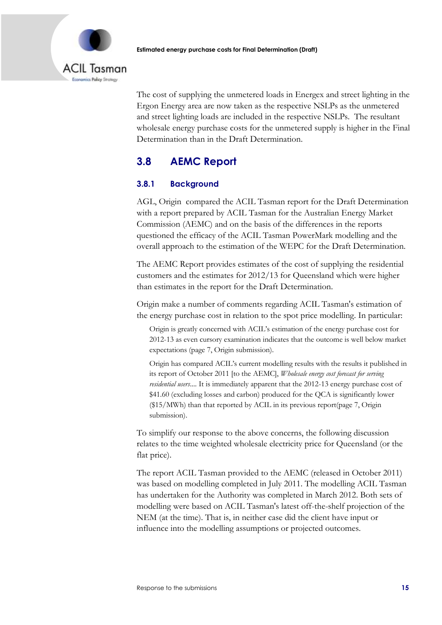

The cost of supplying the unmetered loads in Energex and street lighting in the Ergon Energy area are now taken as the respective NSLPs as the unmetered and street lighting loads are included in the respective NSLPs. The resultant wholesale energy purchase costs for the unmetered supply is higher in the Final Determination than in the Draft Determination.

# <span id="page-19-0"></span>**3.8 AEMC Report**

## <span id="page-19-1"></span>**3.8.1 Background**

AGL, Origin compared the ACIL Tasman report for the Draft Determination with a report prepared by ACIL Tasman for the Australian Energy Market Commission (AEMC) and on the basis of the differences in the reports questioned the efficacy of the ACIL Tasman PowerMark modelling and the overall approach to the estimation of the WEPC for the Draft Determination.

The AEMC Report provides estimates of the cost of supplying the residential customers and the estimates for 2012/13 for Queensland which were higher than estimates in the report for the Draft Determination.

Origin make a number of comments regarding ACIL Tasman's estimation of the energy purchase cost in relation to the spot price modelling. In particular:

Origin is greatly concerned with ACIL's estimation of the energy purchase cost for 2012-13 as even cursory examination indicates that the outcome is well below market expectations (page 7, Origin submission).

Origin has compared ACIL's current modelling results with the results it published in its report of October 2011 [to the AEMC], *Wholesale energy cost forecast for serving residential users*.... It is immediately apparent that the 2012-13 energy purchase cost of \$41.60 (excluding losses and carbon) produced for the QCA is significantly lower (\$15/MWh) than that reported by ACIL in its previous report(page 7, Origin submission).

To simplify our response to the above concerns, the following discussion relates to the time weighted wholesale electricity price for Queensland (or the flat price).

The report ACIL Tasman provided to the AEMC (released in October 2011) was based on modelling completed in July 2011. The modelling ACIL Tasman has undertaken for the Authority was completed in March 2012. Both sets of modelling were based on ACIL Tasman's latest off-the-shelf projection of the NEM (at the time). That is, in neither case did the client have input or influence into the modelling assumptions or projected outcomes.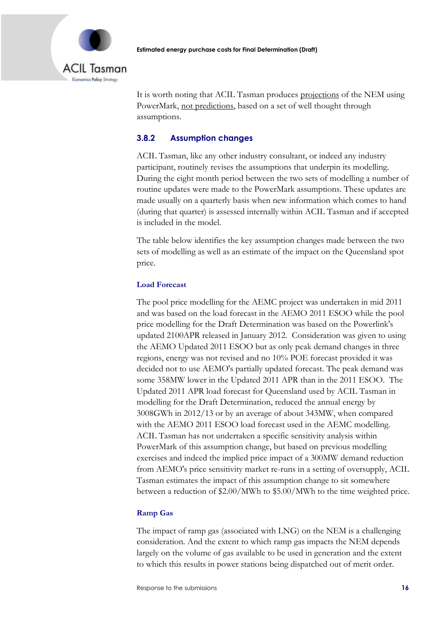

It is worth noting that ACIL Tasman produces projections of the NEM using PowerMark, not predictions, based on a set of well thought through assumptions.

## <span id="page-20-0"></span>**3.8.2 Assumption changes**

ACIL Tasman, like any other industry consultant, or indeed any industry participant, routinely revises the assumptions that underpin its modelling. During the eight month period between the two sets of modelling a number of routine updates were made to the PowerMark assumptions. These updates are made usually on a quarterly basis when new information which comes to hand (during that quarter) is assessed internally within ACIL Tasman and if accepted is included in the model.

The table below identifies the key assumption changes made between the two sets of modelling as well as an estimate of the impact on the Queensland spot price.

## **Load Forecast**

The pool price modelling for the AEMC project was undertaken in mid 2011 and was based on the load forecast in the AEMO 2011 ESOO while the pool price modelling for the Draft Determination was based on the Powerlink's updated 2100APR released in January 2012. Consideration was given to using the AEMO Updated 2011 ESOO but as only peak demand changes in three regions, energy was not revised and no 10% POE forecast provided it was decided not to use AEMO's partially updated forecast. The peak demand was some 358MW lower in the Updated 2011 APR than in the 2011 ESOO. The Updated 2011 APR load forecast for Queensland used by ACIL Tasman in modelling for the Draft Determination, reduced the annual energy by 3008GWh in 2012/13 or by an average of about 343MW, when compared with the AEMO 2011 ESOO load forecast used in the AEMC modelling. ACIL Tasman has not undertaken a specific sensitivity analysis within PowerMark of this assumption change, but based on previous modelling exercises and indeed the implied price impact of a 300MW demand reduction from AEMO's price sensitivity market re-runs in a setting of oversupply, ACIL Tasman estimates the impact of this assumption change to sit somewhere between a reduction of \$2.00/MWh to \$5.00/MWh to the time weighted price.

#### **Ramp Gas**

The impact of ramp gas (associated with LNG) on the NEM is a challenging consideration. And the extent to which ramp gas impacts the NEM depends largely on the volume of gas available to be used in generation and the extent to which this results in power stations being dispatched out of merit order.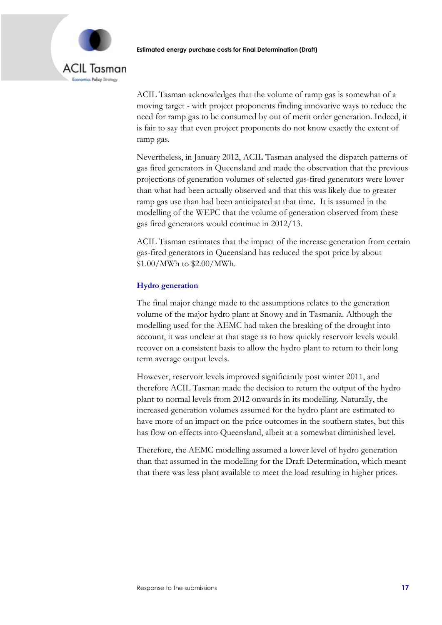

ACIL Tasman acknowledges that the volume of ramp gas is somewhat of a moving target - with project proponents finding innovative ways to reduce the need for ramp gas to be consumed by out of merit order generation. Indeed, it is fair to say that even project proponents do not know exactly the extent of ramp gas.

Nevertheless, in January 2012, ACIL Tasman analysed the dispatch patterns of gas fired generators in Queensland and made the observation that the previous projections of generation volumes of selected gas-fired generators were lower than what had been actually observed and that this was likely due to greater ramp gas use than had been anticipated at that time. It is assumed in the modelling of the WEPC that the volume of generation observed from these gas fired generators would continue in 2012/13.

ACIL Tasman estimates that the impact of the increase generation from certain gas-fired generators in Queensland has reduced the spot price by about \$1.00/MWh to \$2.00/MWh.

### **Hydro generation**

The final major change made to the assumptions relates to the generation volume of the major hydro plant at Snowy and in Tasmania. Although the modelling used for the AEMC had taken the breaking of the drought into account, it was unclear at that stage as to how quickly reservoir levels would recover on a consistent basis to allow the hydro plant to return to their long term average output levels.

However, reservoir levels improved significantly post winter 2011, and therefore ACIL Tasman made the decision to return the output of the hydro plant to normal levels from 2012 onwards in its modelling. Naturally, the increased generation volumes assumed for the hydro plant are estimated to have more of an impact on the price outcomes in the southern states, but this has flow on effects into Queensland, albeit at a somewhat diminished level.

Therefore, the AEMC modelling assumed a lower level of hydro generation than that assumed in the modelling for the Draft Determination, which meant that there was less plant available to meet the load resulting in higher prices.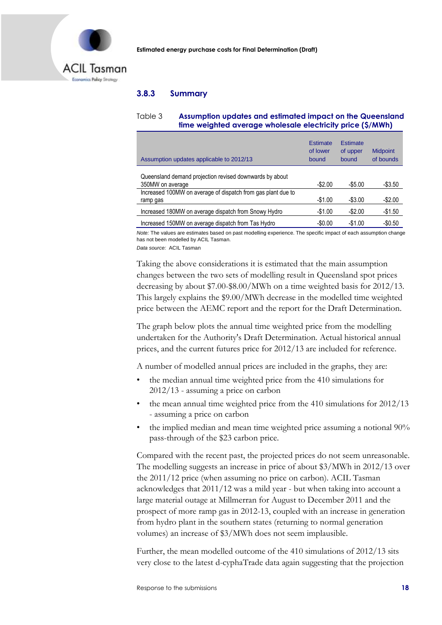

### <span id="page-22-1"></span><span id="page-22-0"></span>**3.8.3 Summary**

| <u>iline weighted average wholesule electricity price (3/MWH)</u>           |                                      |                                      |                              |  |  |  |  |
|-----------------------------------------------------------------------------|--------------------------------------|--------------------------------------|------------------------------|--|--|--|--|
| Assumption updates applicable to 2012/13                                    | <b>Estimate</b><br>of lower<br>bound | <b>Estimate</b><br>of upper<br>bound | <b>Midpoint</b><br>of bounds |  |  |  |  |
| Queensland demand projection revised downwards by about<br>350MW on average | $-$2.00$                             | $-$ \$5.00                           | $-$ \$3.50                   |  |  |  |  |
| Increased 100MW on average of dispatch from gas plant due to<br>ramp gas    | $-$1.00$                             | $-$ \$3.00                           | $-$ \$2.00                   |  |  |  |  |
| Increased 180MW on average dispatch from Snowy Hydro                        | $-$1.00$                             | $-$2.00$                             | $-$1.50$                     |  |  |  |  |
| Increased 150MW on average dispatch from Tas Hydro                          | $-$0.00$                             | $-$1.00$                             | $-$0.50$                     |  |  |  |  |

#### Table 3 **Assumption updates and estimated impact on the Queensland time weighted average wholesale electricity price (\$/MWh)**

*Note:* The values are estimates based on past modelling experience. The specific impact of each assumption change has not been modelled by ACIL Tasman.

*Data source:* ACIL Tasman

Taking the above considerations it is estimated that the main assumption changes between the two sets of modelling result in Queensland spot prices decreasing by about \$7.00-\$8.00/MWh on a time weighted basis for 2012/13. This largely explains the \$9.00/MWh decrease in the modelled time weighted price between the AEMC report and the report for the Draft Determination.

The graph below plots the annual time weighted price from the modelling undertaken for the Authority's Draft Determination. Actual historical annual prices, and the current futures price for 2012/13 are included for reference.

A number of modelled annual prices are included in the graphs, they are:

- the median annual time weighted price from the 410 simulations for 2012/13 - assuming a price on carbon
- the mean annual time weighted price from the 410 simulations for 2012/13 - assuming a price on carbon
- the implied median and mean time weighted price assuming a notional 90% pass-through of the \$23 carbon price.

Compared with the recent past, the projected prices do not seem unreasonable. The modelling suggests an increase in price of about \$3/MWh in 2012/13 over the 2011/12 price (when assuming no price on carbon). ACIL Tasman acknowledges that 2011/12 was a mild year - but when taking into account a large material outage at Millmerran for August to December 2011 and the prospect of more ramp gas in 2012-13, coupled with an increase in generation from hydro plant in the southern states (returning to normal generation volumes) an increase of \$3/MWh does not seem implausible.

Further, the mean modelled outcome of the 410 simulations of 2012/13 sits very close to the latest d-cyphaTrade data again suggesting that the projection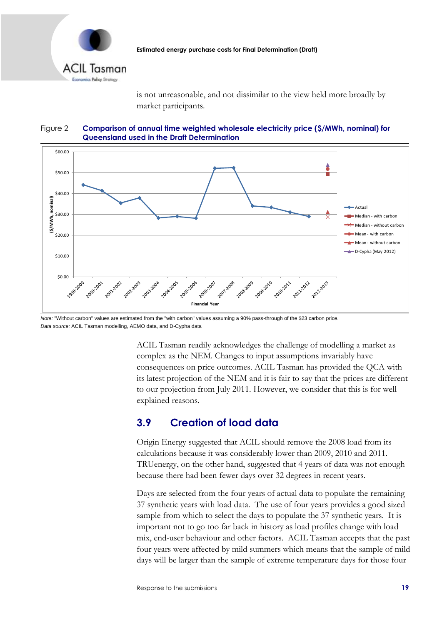

is not unreasonable, and not dissimilar to the view held more broadly by market participants.

<span id="page-23-1"></span>



*Note:* "Without carbon" values are estimated from the "with carbon" values assuming a 90% pass-through of the \$23 carbon price. *Data source:* ACIL Tasman modelling, AEMO data, and D-Cypha data

ACIL Tasman readily acknowledges the challenge of modelling a market as complex as the NEM. Changes to input assumptions invariably have consequences on price outcomes. ACIL Tasman has provided the QCA with its latest projection of the NEM and it is fair to say that the prices are different to our projection from July 2011. However, we consider that this is for well explained reasons.

## <span id="page-23-0"></span>**3.9 Creation of load data**

Origin Energy suggested that ACIL should remove the 2008 load from its calculations because it was considerably lower than 2009, 2010 and 2011. TRUenergy, on the other hand, suggested that 4 years of data was not enough because there had been fewer days over 32 degrees in recent years.

Days are selected from the four years of actual data to populate the remaining 37 synthetic years with load data. The use of four years provides a good sized sample from which to select the days to populate the 37 synthetic years. It is important not to go too far back in history as load profiles change with load mix, end-user behaviour and other factors. ACIL Tasman accepts that the past four years were affected by mild summers which means that the sample of mild days will be larger than the sample of extreme temperature days for those four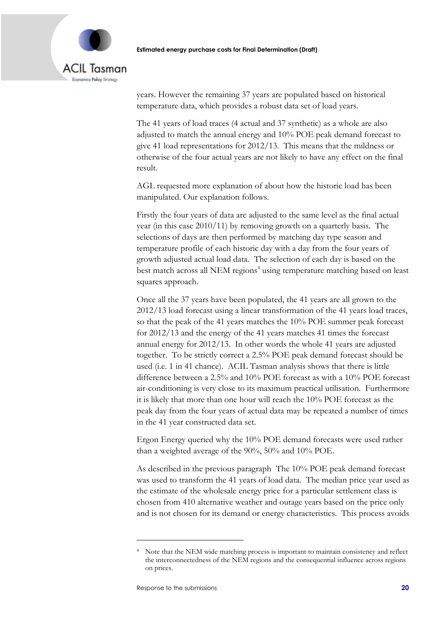

years. However the remaining 37 years are populated based on historical temperature data, which provides a robust data set of load years.

The 41 years of load traces (4 actual and 37 synthetic) as a whole are also adjusted to match the annual energy and 10% POE peak demand forecast to give 41 load representations for 2012/13. This means that the mildness or otherwise of the four actual years are not likely to have any effect on the final result.

AGL requested more explanation of about how the historic load has been manipulated. Our explanation follows.

Firstly the four years of data are adjusted to the same level as the final actual year (in this case 2010/11) by removing growth on a quarterly basis. The selections of days are then performed by matching day type season and temperature profile of each historic day with a day from the four years of growth adjusted actual load data. The selection of each day is based on the best match across all NEM regions<sup>4</sup> using temperature matching based on least squares approach.

Once all the 37 years have been populated, the 41 years are all grown to the 2012/13 load forecast using a linear transformation of the 41 years load traces, so that the peak of the 41 years matches the 10% POE summer peak forecast for 2012/13 and the energy of the 41 years matches 41 times the forecast annual energy for 2012/13. In other words the whole 41 years are adjusted together. To be strictly correct a 2.5% POE peak demand forecast should be used (i.e. 1 in 41 chance). ACIL Tasman analysis shows that there is little difference between a 2.5% and 10% POE forecast as with a 10% POE forecast air-conditioning is very close to its maximum practical utilisation. Furthermore it is likely that more than one hour will reach the 10% POE forecast as the peak day from the four years of actual data may be repeated a number of times in the 41 year constructed data set.

Ergon Energy queried why the 10% POE demand forecasts were used rather than a weighted average of the 90%, 50% and 10% POE.

As described in the previous paragraph The 10% POE peak demand forecast was used to transform the 41 years of load data. The median price year used as the estimate of the wholesale energy price for a particular settlement class is chosen from 410 alternative weather and outage years based on the price only and is not chosen for its demand or energy characteristics. This process avoids

-

<sup>4</sup> Note that the NEM wide matching process is important to maintain consistency and reflect the interconnectedness of the NEM regions and the consequential influence across regions on prices.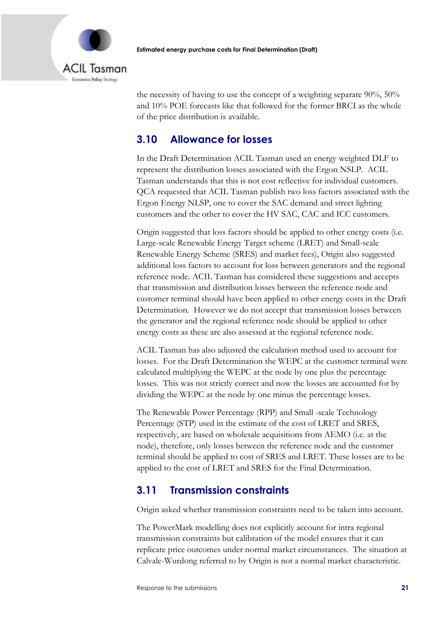

the necessity of having to use the concept of a weighting separate 90%, 50% and 10% POE forecasts like that followed for the former BRCI as the whole of the price distribution is available.

# <span id="page-25-0"></span>**3.10 Allowance for losses**

In the Draft Determination ACIL Tasman used an energy weighted DLF to represent the distribution losses associated with the Ergon NSLP. ACIL Tasman understands that this is not cost reflective for individual customers. QCA requested that ACIL Tasman publish two loss factors associated with the Ergon Energy NLSP, one to cover the SAC demand and street lighting customers and the other to cover the HV SAC, CAC and ICC customers.

Origin suggested that loss factors should be applied to other energy costs (i.e. Large-scale Renewable Energy Target scheme (LRET) and Small-scale Renewable Energy Scheme (SRES) and market fees), Origin also suggested additional loss factors to account for loss between generators and the regional reference node. ACIL Tasman has considered these suggestions and accepts that transmission and distribution losses between the reference node and customer terminal should have been applied to other energy costs in the Draft Determination. However we do not accept that transmission losses between the generator and the regional reference node should be applied to other energy costs as these are also assessed at the regional reference node.

ACIL Tasman has also adjusted the calculation method used to account for losses. For the Draft Determination the WEPC at the customer terminal were calculated multiplying the WEPC at the node by one plus the percentage losses. This was not strictly correct and now the losses are accounted for by dividing the WEPC at the node by one minus the percentage losses.

The Renewable Power Percentage (RPP) and Small -scale Technology Percentage (STP) used in the estimate of the cost of LRET and SRES, respectively, are based on wholesale acquisitions from AEMO (i.e. at the node), therefore, only losses between the reference node and the customer terminal should be applied to cost of SRES and LRET. These losses are to be applied to the cost of LRET and SRES for the Final Determination.

# <span id="page-25-1"></span>**3.11 Transmission constraints**

Origin asked whether transmission constraints need to be taken into account.

The PowerMark modelling does not explicitly account for intra regional transmission constraints but calibration of the model ensures that it can replicate price outcomes under normal market circumstances. The situation at Calvale-Wurdong referred to by Origin is not a normal market characteristic.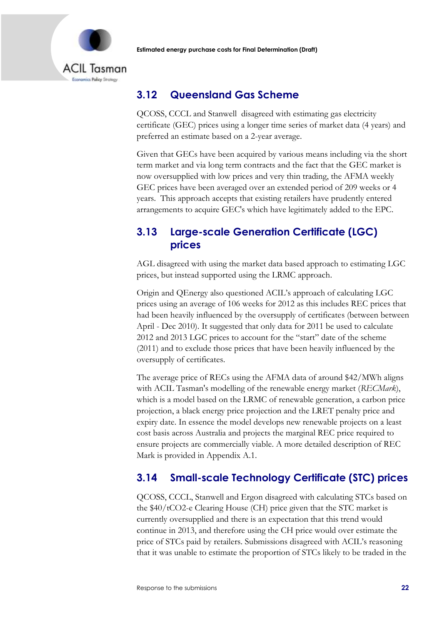



## <span id="page-26-0"></span>**3.12 Queensland Gas Scheme**

QCOSS, CCCL and Stanwell disagreed with estimating gas electricity certificate (GEC) prices using a longer time series of market data (4 years) and preferred an estimate based on a 2-year average.

Given that GECs have been acquired by various means including via the short term market and via long term contracts and the fact that the GEC market is now oversupplied with low prices and very thin trading, the AFMA weekly GEC prices have been averaged over an extended period of 209 weeks or 4 years. This approach accepts that existing retailers have prudently entered arrangements to acquire GEC's which have legitimately added to the EPC.

# <span id="page-26-1"></span>**3.13 Large-scale Generation Certificate (LGC) prices**

AGL disagreed with using the market data based approach to estimating LGC prices, but instead supported using the LRMC approach.

Origin and QEnergy also questioned ACIL's approach of calculating LGC prices using an average of 106 weeks for 2012 as this includes REC prices that had been heavily influenced by the oversupply of certificates (between between April - Dec 2010). It suggested that only data for 2011 be used to calculate 2012 and 2013 LGC prices to account for the "start" date of the scheme (2011) and to exclude those prices that have been heavily influenced by the oversupply of certificates.

The average price of RECs using the AFMA data of around \$42/MWh aligns with ACIL Tasman's modelling of the renewable energy market (*RECMark*), which is a model based on the LRMC of renewable generation, a carbon price projection, a black energy price projection and the LRET penalty price and expiry date. In essence the model develops new renewable projects on a least cost basis across Australia and projects the marginal REC price required to ensure projects are commercially viable. A more detailed description of REC Mark is provided in Appendix [A.1.](#page-59-1)

# <span id="page-26-2"></span>**3.14 Small-scale Technology Certificate (STC) prices**

QCOSS, CCCL, Stanwell and Ergon disagreed with calculating STCs based on the \$40/tCO2-e Clearing House (CH) price given that the STC market is currently oversupplied and there is an expectation that this trend would continue in 2013, and therefore using the CH price would over estimate the price of STCs paid by retailers. Submissions disagreed with ACIL's reasoning that it was unable to estimate the proportion of STCs likely to be traded in the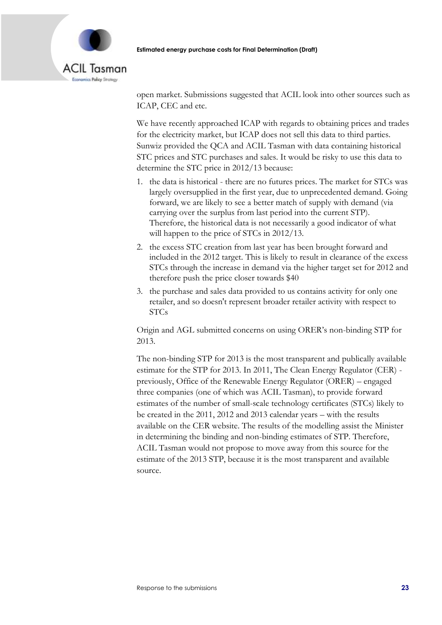

open market. Submissions suggested that ACIL look into other sources such as ICAP, CEC and etc.

We have recently approached ICAP with regards to obtaining prices and trades for the electricity market, but ICAP does not sell this data to third parties. Sunwiz provided the QCA and ACIL Tasman with data containing historical STC prices and STC purchases and sales. It would be risky to use this data to determine the STC price in 2012/13 because:

- 1. the data is historical there are no futures prices. The market for STCs was largely oversupplied in the first year, due to unprecedented demand. Going forward, we are likely to see a better match of supply with demand (via carrying over the surplus from last period into the current STP). Therefore, the historical data is not necessarily a good indicator of what will happen to the price of STCs in 2012/13.
- 2. the excess STC creation from last year has been brought forward and included in the 2012 target. This is likely to result in clearance of the excess STCs through the increase in demand via the higher target set for 2012 and therefore push the price closer towards \$40
- 3. the purchase and sales data provided to us contains activity for only one retailer, and so doesn't represent broader retailer activity with respect to STCs

Origin and AGL submitted concerns on using ORER's non-binding STP for 2013.

The non-binding STP for 2013 is the most transparent and publically available estimate for the STP for 2013. In 2011, The Clean Energy Regulator (CER) previously, Office of the Renewable Energy Regulator (ORER) – engaged three companies (one of which was ACIL Tasman), to provide forward estimates of the number of small-scale technology certificates (STCs) likely to be created in the 2011, 2012 and 2013 calendar years – with the results available on the CER website. The results of the modelling assist the Minister in determining the binding and non-binding estimates of STP. Therefore, ACIL Tasman would not propose to move away from this source for the estimate of the 2013 STP, because it is the most transparent and available source.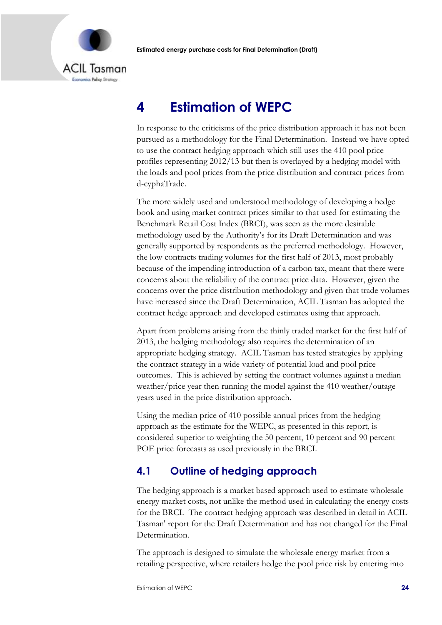



# <span id="page-28-0"></span>**4 Estimation of WEPC**

In response to the criticisms of the price distribution approach it has not been pursued as a methodology for the Final Determination. Instead we have opted to use the contract hedging approach which still uses the 410 pool price profiles representing 2012/13 but then is overlayed by a hedging model with the loads and pool prices from the price distribution and contract prices from d-cyphaTrade.

The more widely used and understood methodology of developing a hedge book and using market contract prices similar to that used for estimating the Benchmark Retail Cost Index (BRCI), was seen as the more desirable methodology used by the Authority's for its Draft Determination and was generally supported by respondents as the preferred methodology. However, the low contracts trading volumes for the first half of 2013, most probably because of the impending introduction of a carbon tax, meant that there were concerns about the reliability of the contract price data. However, given the concerns over the price distribution methodology and given that trade volumes have increased since the Draft Determination, ACIL Tasman has adopted the contract hedge approach and developed estimates using that approach.

Apart from problems arising from the thinly traded market for the first half of 2013, the hedging methodology also requires the determination of an appropriate hedging strategy. ACIL Tasman has tested strategies by applying the contract strategy in a wide variety of potential load and pool price outcomes. This is achieved by setting the contract volumes against a median weather/price year then running the model against the 410 weather/outage years used in the price distribution approach.

Using the median price of 410 possible annual prices from the hedging approach as the estimate for the WEPC, as presented in this report, is considered superior to weighting the 50 percent, 10 percent and 90 percent POE price forecasts as used previously in the BRCI.

# <span id="page-28-1"></span>**4.1 Outline of hedging approach**

The hedging approach is a market based approach used to estimate wholesale energy market costs, not unlike the method used in calculating the energy costs for the BRCI. The contract hedging approach was described in detail in ACIL Tasman' report for the Draft Determination and has not changed for the Final Determination.

The approach is designed to simulate the wholesale energy market from a retailing perspective, where retailers hedge the pool price risk by entering into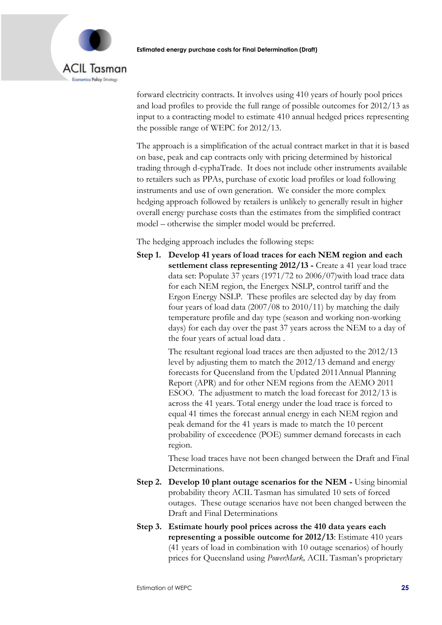

forward electricity contracts. It involves using 410 years of hourly pool prices and load profiles to provide the full range of possible outcomes for 2012/13 as input to a contracting model to estimate 410 annual hedged prices representing the possible range of WEPC for 2012/13.

The approach is a simplification of the actual contract market in that it is based on base, peak and cap contracts only with pricing determined by historical trading through d-cyphaTrade. It does not include other instruments available to retailers such as PPAs, purchase of exotic load profiles or load following instruments and use of own generation. We consider the more complex hedging approach followed by retailers is unlikely to generally result in higher overall energy purchase costs than the estimates from the simplified contract model – otherwise the simpler model would be preferred.

The hedging approach includes the following steps:

<span id="page-29-1"></span>**Step 1. Develop 41 years of load traces for each NEM region and each settlement class representing 2012/13 -** Create a 41 year load trace data set: Populate 37 years (1971/72 to 2006/07)with load trace data for each NEM region, the Energex NSLP, control tariff and the Ergon Energy NSLP. These profiles are selected day by day from four years of load data (2007/08 to 2010/11) by matching the daily temperature profile and day type (season and working non-working days) for each day over the past 37 years across the NEM to a day of the four years of actual load data .

> The resultant regional load traces are then adjusted to the 2012/13 level by adjusting them to match the 2012/13 demand and energy forecasts for Queensland from the Updated 2011Annual Planning Report (APR) and for other NEM regions from the AEMO 2011 ESOO. The adjustment to match the load forecast for 2012/13 is across the 41 years. Total energy under the load trace is forced to equal 41 times the forecast annual energy in each NEM region and peak demand for the 41 years is made to match the 10 percent probability of exceedence (POE) summer demand forecasts in each region.

These load traces have not been changed between the Draft and Final Determinations.

- **Step 2. Develop 10 plant outage scenarios for the NEM -** Using binomial probability theory ACIL Tasman has simulated 10 sets of forced outages. These outage scenarios have not been changed between the Draft and Final Determinations
- <span id="page-29-0"></span>**Step 3. Estimate hourly pool prices across the 410 data years each representing a possible outcome for 2012/13**: Estimate 410 years (41 years of load in combination with 10 outage scenarios) of hourly prices for Queensland using *PowerMark,* ACIL Tasman's proprietary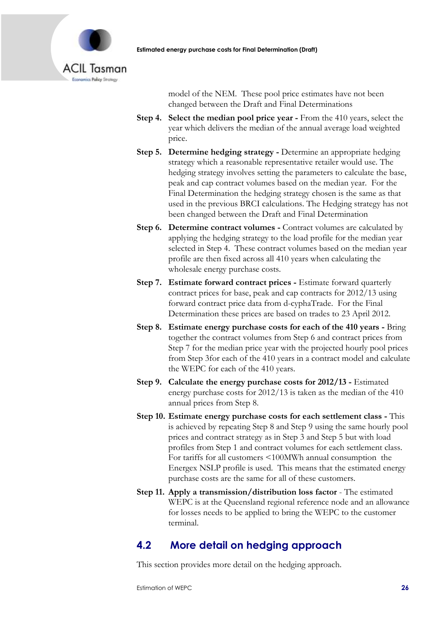

model of the NEM. These pool price estimates have not been changed between the Draft and Final Determinations

- <span id="page-30-1"></span>**Step 4. Select the median pool price year -** From the 410 years, select the year which delivers the median of the annual average load weighted price.
- <span id="page-30-6"></span>**Step 5. Determine hedging strategy -** Determine an appropriate hedging strategy which a reasonable representative retailer would use. The hedging strategy involves setting the parameters to calculate the base, peak and cap contract volumes based on the median year. For the Final Determination the hedging strategy chosen is the same as that used in the previous BRCI calculations. The Hedging strategy has not been changed between the Draft and Final Determination
- <span id="page-30-2"></span>**Step 6. Determine contract volumes -** Contract volumes are calculated by applying the hedging strategy to the load profile for the median year selected in [Step 4.](#page-30-1) These contract volumes based on the median year profile are then fixed across all 410 years when calculating the wholesale energy purchase costs.
- <span id="page-30-3"></span>**Step 7. Estimate forward contract prices -** Estimate forward quarterly contract prices for base, peak and cap contracts for 2012/13 using forward contract price data from d-cyphaTrade. For the Final Determination these prices are based on trades to 23 April 2012.
- <span id="page-30-4"></span>**Step 8. Estimate energy purchase costs for each of the 410 years -** Bring together the contract volumes from [Step 6](#page-30-2) and contract prices from [Step 7](#page-30-3) for the median price year with the projected hourly pool prices from [Step 3f](#page-29-0)or each of the 410 years in a contract model and calculate the WEPC for each of the 410 years.
- <span id="page-30-5"></span>**Step 9. Calculate the energy purchase costs for 2012/13 -** Estimated energy purchase costs for 2012/13 is taken as the median of the 410 annual prices from [Step 8.](#page-30-4)
- **Step 10. Estimate energy purchase costs for each settlement class -** This is achieved by repeating [Step 8](#page-30-4) and [Step 9](#page-30-5) using the same hourly pool prices and contract strategy as in [Step 3](#page-29-0) and [Step 5](#page-30-6) but with load profiles from [Step 1](#page-29-1) and contract volumes for each settlement class. For tariffs for all customers <100MWh annual consumption the Energex NSLP profile is used. This means that the estimated energy purchase costs are the same for all of these customers.
- **Step 11. Apply a transmission/distribution loss factor** The estimated WEPC is at the Queensland regional reference node and an allowance for losses needs to be applied to bring the WEPC to the customer terminal.

# <span id="page-30-0"></span>**4.2 More detail on hedging approach**

This section provides more detail on the hedging approach.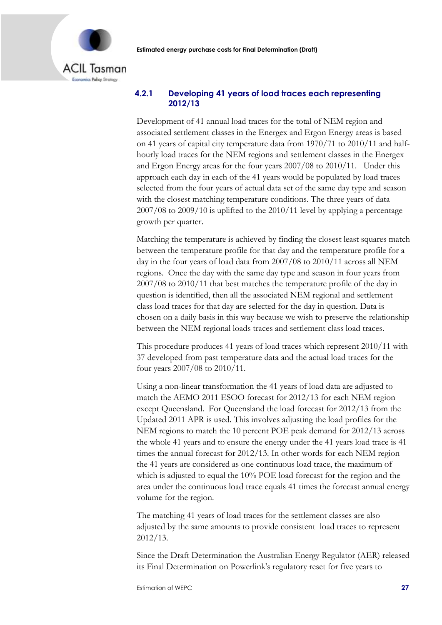

## <span id="page-31-0"></span>**4.2.1 Developing 41 years of load traces each representing 2012/13**

Development of 41 annual load traces for the total of NEM region and associated settlement classes in the Energex and Ergon Energy areas is based on 41 years of capital city temperature data from 1970/71 to 2010/11 and halfhourly load traces for the NEM regions and settlement classes in the Energex and Ergon Energy areas for the four years 2007/08 to 2010/11. Under this approach each day in each of the 41 years would be populated by load traces selected from the four years of actual data set of the same day type and season with the closest matching temperature conditions. The three years of data 2007/08 to 2009/10 is uplifted to the 2010/11 level by applying a percentage growth per quarter.

Matching the temperature is achieved by finding the closest least squares match between the temperature profile for that day and the temperature profile for a day in the four years of load data from 2007/08 to 2010/11 across all NEM regions. Once the day with the same day type and season in four years from 2007/08 to 2010/11 that best matches the temperature profile of the day in question is identified, then all the associated NEM regional and settlement class load traces for that day are selected for the day in question. Data is chosen on a daily basis in this way because we wish to preserve the relationship between the NEM regional loads traces and settlement class load traces.

This procedure produces 41 years of load traces which represent 2010/11 with 37 developed from past temperature data and the actual load traces for the four years 2007/08 to 2010/11.

Using a non-linear transformation the 41 years of load data are adjusted to match the AEMO 2011 ESOO forecast for 2012/13 for each NEM region except Queensland. For Queensland the load forecast for 2012/13 from the Updated 2011 APR is used. This involves adjusting the load profiles for the NEM regions to match the 10 percent POE peak demand for 2012/13 across the whole 41 years and to ensure the energy under the 41 years load trace is 41 times the annual forecast for 2012/13. In other words for each NEM region the 41 years are considered as one continuous load trace, the maximum of which is adjusted to equal the 10% POE load forecast for the region and the area under the continuous load trace equals 41 times the forecast annual energy volume for the region.

The matching 41 years of load traces for the settlement classes are also adjusted by the same amounts to provide consistent load traces to represent 2012/13.

Since the Draft Determination the Australian Energy Regulator (AER) released its Final Determination on Powerlink's regulatory reset for five years to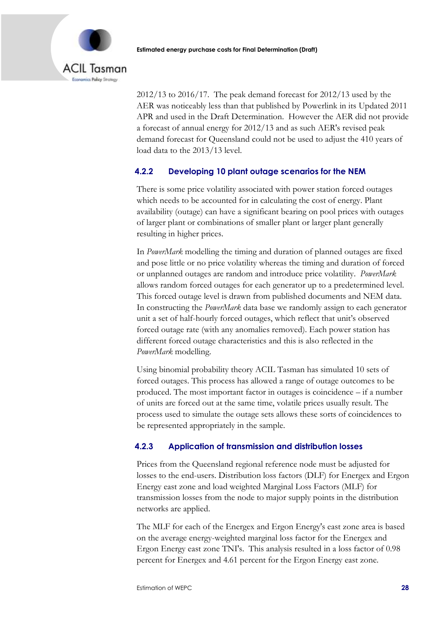ACIL Tasman **Economics Policy Strategy** 2012/13 to 2016/17. The peak demand forecast for 2012/13 used by the

AER was noticeably less than that published by Powerlink in its Updated 2011 APR and used in the Draft Determination. However the AER did not provide a forecast of annual energy for 2012/13 and as such AER's revised peak demand forecast for Queensland could not be used to adjust the 410 years of load data to the 2013/13 level.

## <span id="page-32-0"></span>**4.2.2 Developing 10 plant outage scenarios for the NEM**

There is some price volatility associated with power station forced outages which needs to be accounted for in calculating the cost of energy. Plant availability (outage) can have a significant bearing on pool prices with outages of larger plant or combinations of smaller plant or larger plant generally resulting in higher prices.

In *PowerMark* modelling the timing and duration of planned outages are fixed and pose little or no price volatility whereas the timing and duration of forced or unplanned outages are random and introduce price volatility. *PowerMark* allows random forced outages for each generator up to a predetermined level. This forced outage level is drawn from published documents and NEM data. In constructing the *PowerMark* data base we randomly assign to each generator unit a set of half-hourly forced outages, which reflect that unit's observed forced outage rate (with any anomalies removed). Each power station has different forced outage characteristics and this is also reflected in the *PowerMark* modelling.

Using binomial probability theory ACIL Tasman has simulated 10 sets of forced outages. This process has allowed a range of outage outcomes to be produced. The most important factor in outages is coincidence – if a number of units are forced out at the same time, volatile prices usually result. The process used to simulate the outage sets allows these sorts of coincidences to be represented appropriately in the sample.

## <span id="page-32-1"></span>**4.2.3 Application of transmission and distribution losses**

Prices from the Queensland regional reference node must be adjusted for losses to the end-users. Distribution loss factors (DLF) for Energex and Ergon Energy east zone and load weighted Marginal Loss Factors (MLF) for transmission losses from the node to major supply points in the distribution networks are applied.

The MLF for each of the Energex and Ergon Energy's east zone area is based on the average energy-weighted marginal loss factor for the Energex and Ergon Energy east zone TNI's. This analysis resulted in a loss factor of 0.98 percent for Energex and 4.61 percent for the Ergon Energy east zone.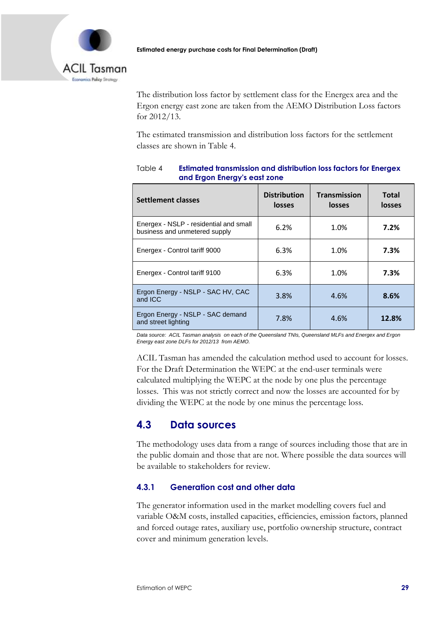

The distribution loss factor by settlement class for the Energex area and the Ergon energy east zone are taken from the AEMO Distribution Loss factors for 2012/13.

The estimated transmission and distribution loss factors for the settlement classes are shown in [Table 4.](#page-33-2)

| Settlement classes                                                      | <b>Distribution</b><br>losses | <b>Transmission</b><br>losses | <b>Total</b><br>losses |
|-------------------------------------------------------------------------|-------------------------------|-------------------------------|------------------------|
| Energex - NSLP - residential and small<br>business and unmetered supply | 6.2%                          | 1.0%                          | 7.2%                   |
| Energex - Control tariff 9000                                           | 6.3%                          | 1.0%                          | 7.3%                   |
| Energex - Control tariff 9100                                           | 6.3%                          | 1.0%                          | 7.3%                   |
| Ergon Energy - NSLP - SAC HV, CAC<br>and ICC                            | 3.8%                          | 4.6%                          | 8.6%                   |
| Ergon Energy - NSLP - SAC demand<br>and street lighting                 | 7.8%                          | 4.6%                          | 12.8%                  |

### <span id="page-33-2"></span>Table 4 **Estimated transmission and distribution loss factors for Energex and Ergon Energy's east zone**

*Data source: ACIL Tasman analysis on each of the Queensland TNIs, Queensland MLFs and Energex and Ergon Energy east zone DLFs for 2012/13 from AEMO.*

ACIL Tasman has amended the calculation method used to account for losses. For the Draft Determination the WEPC at the end-user terminals were calculated multiplying the WEPC at the node by one plus the percentage losses. This was not strictly correct and now the losses are accounted for by dividing the WEPC at the node by one minus the percentage loss.

## <span id="page-33-0"></span>**4.3 Data sources**

The methodology uses data from a range of sources including those that are in the public domain and those that are not. Where possible the data sources will be available to stakeholders for review.

## <span id="page-33-1"></span>**4.3.1 Generation cost and other data**

The generator information used in the market modelling covers fuel and variable O&M costs, installed capacities, efficiencies, emission factors, planned and forced outage rates, auxiliary use, portfolio ownership structure, contract cover and minimum generation levels.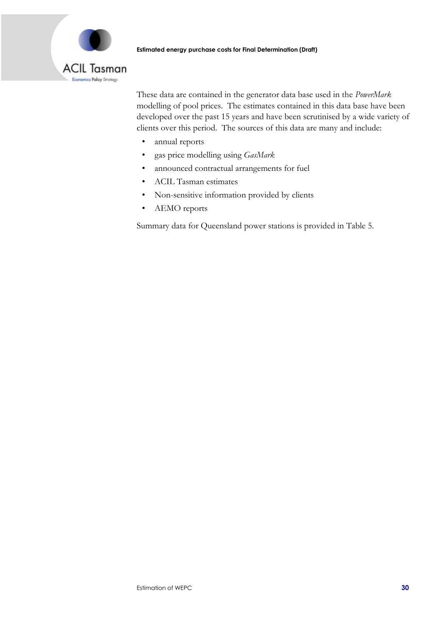

These data are contained in the generator data base used in the *PowerMark*  modelling of pool prices. The estimates contained in this data base have been developed over the past 15 years and have been scrutinised by a wide variety of clients over this period. The sources of this data are many and include:

- annual reports
- gas price modelling using *GasMark*
- announced contractual arrangements for fuel
- ACIL Tasman estimates
- Non-sensitive information provided by clients
- AEMO reports

Summary data for Queensland power stations is provided in [Table 5.](#page-35-1)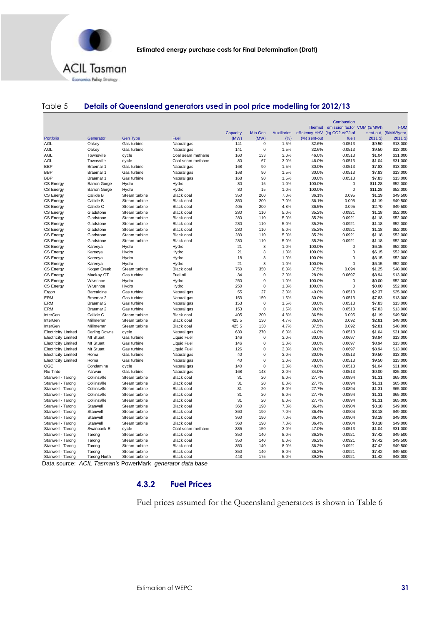

## <span id="page-35-1"></span>Table 5 **Details of Queensland generators used in pool price modelling for 2012/13**

|                            |                      |                 |                    |                  |                 |                            |              | Combustion                          |            |                                  |
|----------------------------|----------------------|-----------------|--------------------|------------------|-----------------|----------------------------|--------------|-------------------------------------|------------|----------------------------------|
|                            |                      |                 |                    |                  |                 |                            |              | Thermal emission factor VOM (\$/MWh |            | <b>FOM</b>                       |
| Portfolio                  | Generator            | <b>Gen Type</b> | Fuel               | Capacity<br>(MW) | Min Gen<br>(MW) | <b>Auxiliaries</b><br>(% ) | (%) sent-out | efficiency HHV (kg CO2-e/GJ of      | $2011$ \$) | sent-out, (\$/MW/year<br>2011 \$ |
| AGL                        | Oakey                | Gas turbine     | Natural gas        | 141              | 0               | 1.5%                       | 32.6%        | fuel)<br>0.0513                     | \$9.50     | \$13,000                         |
| AGL                        | Oakey                | Gas turbine     | Natural gas        | 141              | 0               | 1.5%                       | 32.6%        | 0.0513                              | \$9.50     | \$13,000                         |
| AGL                        | Townsville           | cycle           | Coal seam methane  | 160              | 133             | 3.0%                       | 46.0%        | 0.0513                              | \$1.04     | \$31,000                         |
| AGL                        | Townsville           | cycle           | Coal seam methane  | 80               | 67              | 3.0%                       | 46.0%        | 0.0513                              | \$1.04     | \$31,000                         |
| <b>BBP</b>                 | Braemar 1            | Gas turbine     | Natural gas        | 168              | 90              | 1.5%                       | 30.0%        | 0.0513                              | \$7.83     | \$13,000                         |
| <b>BBP</b>                 | Braemar 1            | Gas turbine     | Natural gas        | 168              | 90              | 1.5%                       | 30.0%        | 0.0513                              | \$7.83     | \$13,000                         |
| <b>BBP</b>                 | Braemar 1            | Gas turbine     | Natural gas        | 168              | 90              | 1.5%                       | 30.0%        | 0.0513                              | \$7.83     | \$13,000                         |
| <b>CS Energy</b>           | <b>Barron Gorge</b>  | Hydro           | Hydro              | 30               | 15              | 1.0%                       | 100.0%       | $\pmb{0}$                           | \$11.28    | \$52,000                         |
| CS Energy                  | <b>Barron Gorge</b>  | Hydro           | Hydro              | 30               | 15              | 1.0%                       | 100.0%       | 0                                   | \$11.28    | \$52,000                         |
| <b>CS Energy</b>           | Callide B            | Steam turbine   | <b>Black coal</b>  | 350              | 200             | 7.0%                       | 36.1%        | 0.095                               | \$1.19     | \$49,500                         |
| <b>CS Energy</b>           | Callide B            | Steam turbine   | <b>Black coal</b>  | 350              | 200             | 7.0%                       | 36.1%        | 0.095                               | \$1.19     | \$49,500                         |
| <b>CS Energy</b>           | Callide C            | Steam turbine   | <b>Black coal</b>  | 405              | 200             | 4.8%                       | 36.5%        | 0.095                               | \$2.70     | \$49,500                         |
| <b>CS Energy</b>           | Gladstone            | Steam turbine   | <b>Black coal</b>  | 280              | 110             | 5.0%                       | 35.2%        | 0.0921                              | \$1.18     | \$52,000                         |
| CS Energy                  | Gladstone            | Steam turbine   | <b>Black coal</b>  | 280              | 110             | 5.0%                       | 35.2%        | 0.0921                              | \$1.18     | \$52,000                         |
| <b>CS Energy</b>           | Gladstone            | Steam turbine   | <b>Black coal</b>  | 280              | 110             | 5.0%                       | 35.2%        | 0.0921                              | \$1.18     | \$52,000                         |
| <b>CS Energy</b>           | Gladstone            | Steam turbine   | <b>Black coal</b>  | 280              | 110             | 5.0%                       | 35.2%        | 0.0921                              | \$1.18     | \$52,000                         |
| <b>CS Energy</b>           | Gladstone            | Steam turbine   | <b>Black coal</b>  | 280              | 110             | 5.0%                       | 35.2%        | 0.0921                              | \$1.18     | \$52,000                         |
| <b>CS Energy</b>           | Gladstone            | Steam turbine   | <b>Black coal</b>  | 280              | 110             | 5.0%                       | 35.2%        | 0.0921                              | \$1.18     | \$52,000                         |
| CS Energy                  | Kareeya              | Hydro           | Hydro              | 21               | 8               | 1.0%                       | 100.0%       | 0                                   | \$6.15     | \$52,000                         |
| <b>CS Energy</b>           | Kareeya              | Hydro           | Hydro              | 21               | 8               | 1.0%                       | 100.0%       | $\pmb{0}$                           | \$6.15     | \$52,000                         |
| <b>CS Energy</b>           | Kareeya              | Hydro           | Hydro              | 18               | 8               | 1.0%                       | 100.0%       | $\pmb{0}$                           | \$6.15     | \$52,000                         |
| <b>CS Energy</b>           | Kareeya              | Hydro           | Hydro              | 21               | 8               | 1.0%                       | 100.0%       | $\pmb{0}$                           | \$6.15     | \$52,000                         |
| <b>CS Energy</b>           | Kogan Creek          | Steam turbine   | <b>Black coal</b>  | 750              | 350             | 8.0%                       | 37.5%        | 0.094                               | \$1.25     | \$48,000                         |
| <b>CS Energy</b>           | Mackay GT            | Gas turbine     | Fuel oil           | 34               | $\mathbf 0$     | 3.0%                       | 28.0%        | 0.0697                              | \$8.94     | \$13,000                         |
| <b>CS Energy</b>           | Wivenhoe             | Hydro           | Hydro              | 250              | $\Omega$        | 1.0%                       | 100.0%       | $\mathbf 0$                         | \$0.00     | \$52,000                         |
| <b>CS Energy</b>           | Wivenhoe             | Hydro           | Hydro              | 250              | 0               | 1.0%                       | 100.0%       | $\pmb{0}$                           | \$0.00     | \$52,000                         |
| Ergon                      | Barcaldine           | Gas turbine     | Natural gas        | 55               | 27              | 3.0%                       | 40.0%        | 0.0513                              | \$2.37     | \$25,000                         |
| <b>ERM</b>                 | Braemar <sub>2</sub> | Gas turbine     | Natural gas        | 153              | 150             | 1.5%                       | 30.0%        | 0.0513                              | \$7.83     | \$13,000                         |
| ERM                        | Braemar <sub>2</sub> | Gas turbine     | Natural gas        | 153              | $\mathbf 0$     | 1.5%                       | 30.0%        | 0.0513                              | \$7.83     | \$13,000                         |
| <b>ERM</b>                 | Braemar <sub>2</sub> | Gas turbine     | Natural gas        | 153              | $\mathbf 0$     | 1.5%                       | 30.0%        | 0.0513                              | \$7.83     | \$13,000                         |
| InterGen                   | Callide C            | Steam turbine   | <b>Black coal</b>  | 405              | 200             | 4.8%                       | 36.5%        | 0.095                               | \$1.19     | \$49,500                         |
| InterGen                   | Millmerran           | Steam turbine   | <b>Black coal</b>  | 425.5            | 130             | 4.7%                       | 36.9%        | 0.092                               | \$2.81     | \$48,000                         |
| InterGen                   | Millmerran           | Steam turbine   | <b>Black coal</b>  | 425.5            | 130             | 4.7%                       | 37.5%        | 0.092                               | \$2.81     | \$48,000                         |
| <b>Electricity Limited</b> | Darling Downs        | cycle           | Natural gas        | 630              | 270             | 6.0%                       | 46.0%        | 0.0513                              | \$1.04     | \$31,000                         |
| <b>Electricity Limited</b> | Mt Stuart            | Gas turbine     | <b>Liquid Fuel</b> | 146              | $\Omega$        | 3.0%                       | 30.0%        | 0.0697                              | \$8.94     | \$13,000                         |
| <b>Electricity Limited</b> | Mt Stuart            | Gas turbine     | <b>Liquid Fuel</b> | 146              | $\Omega$        | 3.0%                       | 30.0%        | 0.0697                              | \$8.94     | \$13,000                         |
| <b>Electricity Limited</b> | Mt Stuart            | Gas turbine     | <b>Liquid Fuel</b> | 126              | $\Omega$        | 3.0%                       | 30.0%        | 0.0697                              | \$8.94     | \$13,000                         |
| <b>Electricity Limited</b> | Roma                 | Gas turbine     | Natural gas        | 40               | $\Omega$        | 3.0%                       | 30.0%        | 0.0513                              | \$9.50     | \$13,000                         |
| <b>Electricity Limited</b> | Roma                 | Gas turbine     | Natural gas        | 40               | $\Omega$        | 3.0%                       | 30.0%        | 0.0513                              | \$9.50     | \$13,000                         |
| QGC                        | Condamine            | cycle           | Natural gas        | 140              | $\Omega$        | 3.0%                       | 48.0%        | 0.0513                              | \$1.04     | \$31,000                         |
| <b>Rio Tinto</b>           | Yarwun               | Gas turbine     | Natural gas        | 168              | 143             | 2.0%                       | 34.0%        | 0.0513                              | \$0.00     | \$25,000                         |
| Stanwell - Tarong          | Collinsville         | Steam turbine   | <b>Black coal</b>  | 31               | 20              | 8.0%                       | 27.7%        | 0.0894                              | \$1.31     | \$65,000                         |
| Stanwell - Tarong          | Collinsville         | Steam turbine   | <b>Black coal</b>  | 31               | 20              | 8.0%                       | 27.7%        | 0.0894                              | \$1.31     | \$65,000                         |
| Stanwell - Tarong          | Collinsville         | Steam turbine   | <b>Black coal</b>  | 31               | 20              | 8.0%                       | 27.7%        | 0.0894                              | \$1.31     | \$65,000                         |
| Stanwell - Tarong          | Collinsville         | Steam turbine   | <b>Black coal</b>  | 31               | 20              | 8.0%                       | 27.7%        | 0.0894                              | \$1.31     | \$65,000                         |
| Stanwell - Tarong          | Collinsville         | Steam turbine   | <b>Black coal</b>  | 31               | 20              | 8.0%                       | 27.7%        | 0.0894                              | \$1.31     | \$65,000                         |
| Stanwell - Tarong          | Stanwell             | Steam turbine   | <b>Black coal</b>  | 360              | 190             | 7.0%                       | 36.4%        | 0.0904                              | \$3.18     | \$49,000                         |
| Stanwell - Tarong          | Stanwell             | Steam turbine   | <b>Black coal</b>  | 360              | 190             | 7.0%                       | 36.4%        | 0.0904                              | \$3.18     | \$49,000                         |
| Stanwell - Tarong          | Stanwell             | Steam turbine   | <b>Black coal</b>  | 360              | 190             | 7.0%                       | 36.4%        | 0.0904                              | \$3.18     | \$49,000                         |
| Stanwell - Tarong          | Stanwell             | Steam turbine   | <b>Black coal</b>  | 360              | 190             | 7.0%                       | 36.4%        | 0.0904                              | \$3.18     | \$49,000                         |
| Stanwell - Tarong          | Swanbank E           | cycle           | Coal seam methane  | 385              | 150             | 3.0%                       | 47.0%        | 0.0513                              | \$1.04     | \$31,000                         |
| Stanwell - Tarong          | Tarong               | Steam turbine   | <b>Black coal</b>  | 350              | 140             | 8.0%                       | 36.2%        | 0.0921                              | \$7.42     | \$49,500                         |
| Stanwell - Tarong          | Tarong               | Steam turbine   | <b>Black coal</b>  | 350              | 140             | 8.0%                       | 36.2%        | 0.0921                              | \$7.42     | \$49,500                         |
| Stanwell - Tarong          | Tarong               | Steam turbine   | <b>Black coal</b>  | 350              | 140             | 8.0%                       | 36.2%        | 0.0921                              | \$7.42     | \$49,500                         |
| Stanwell - Tarong          | Tarong               | Steam turbine   | <b>Black coal</b>  | 350              | 140             | 8.0%                       | 36.2%        | 0.0921                              | \$7.42     | \$49,500                         |
| Stanwell - Tarong          | <b>Tarong North</b>  | Steam turbine   | <b>Black coal</b>  | 443              | 175             | 5.0%                       | 39.2%        | 0.0921                              | \$1.42     | \$48,000                         |

Data source: *ACIL Tasman's* PowerMark *generator data base* 

## <span id="page-35-0"></span>**4.3.2 Fuel Prices**

Fuel prices assumed for the Queensland generators is shown in [Table 6](#page-36-1)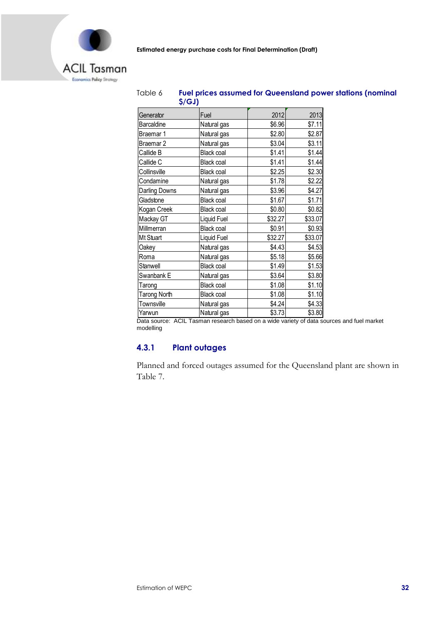

|                   | $\mathsf{S}/\mathsf{GJ}$ |         |         |
|-------------------|--------------------------|---------|---------|
| Generator         | Fuel                     | 2012    | 2013    |
| <b>Barcaldine</b> | Natural gas              | \$6.96  | \$7.11  |
| Braemar 1         | Natural gas              | \$2.80  | \$2.87  |
| Braemar 2         | Natural gas              | \$3.04  | \$3.11  |
| Callide B         | Black coal               | \$1.41  | \$1.44  |
| Callide C         | <b>Black coal</b>        | \$1.41  | \$1.44  |
| Collinsville      | Black coal               | \$2.25  | \$2.30  |
| Condamine         | Natural gas              | \$1.78  | \$2.22  |
| Darling Downs     | Natural gas              | \$3.96  | \$4.27  |
| Gladstone         | Black coal               | \$1.67  | \$1.71  |
| Kogan Creek       | <b>Black coal</b>        | \$0.80  | \$0.82  |
| Mackay GT         | Liquid Fuel              | \$32.27 | \$33.07 |
| Millmerran        | <b>Black coal</b>        | \$0.91  | \$0.93  |
| Mt Stuart         | Liquid Fuel              | \$32.27 | \$33.07 |
| Oakey             | Natural gas              | \$4.43  | \$4.53  |
| Roma              | Natural gas              | \$5.18  | \$5.66  |
| Stanwell          | <b>Black coal</b>        | \$1.49  | \$1.53  |
| Swanbank E        | Natural gas              | \$3.64  | \$3.80  |
| Tarong            | <b>Black coal</b>        | \$1.08  | \$1.10  |
| Tarong North      | <b>Black coal</b>        | \$1.08  | \$1.10  |
| Townsville        | Natural gas              | \$4.24  | \$4.33  |
| Yarwun            | Natural gas              | \$3.73  | \$3.80  |

# <span id="page-36-1"></span>Table 6 **Fuel prices assumed for Queensland power stations (nominal**

Data source: ACIL Tasman research based on a wide variety of data sources and fuel market modelling

## <span id="page-36-0"></span>**4.3.1 Plant outages**

Planned and forced outages assumed for the Queensland plant are shown in [Table 7.](#page-37-1)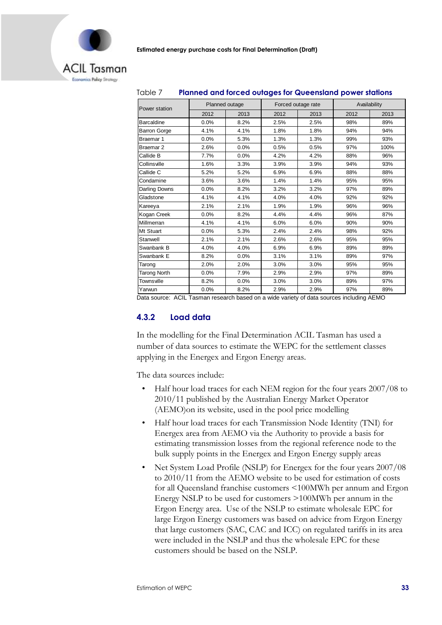

| Power station        | Planned outage |      | Forced outage rate |      | Availability |      |
|----------------------|----------------|------|--------------------|------|--------------|------|
|                      | 2012           | 2013 | 2012               | 2013 | 2012         | 2013 |
| <b>Barcaldine</b>    | 0.0%           | 8.2% | 2.5%               | 2.5% | 98%          | 89%  |
| <b>Barron Gorge</b>  | 4.1%           | 4.1% | 1.8%               | 1.8% | 94%          | 94%  |
| Braemar 1            | 0.0%           | 5.3% | 1.3%               | 1.3% | 99%          | 93%  |
| Braemar <sub>2</sub> | 2.6%           | 0.0% | 0.5%               | 0.5% | 97%          | 100% |
| Callide B            | 7.7%           | 0.0% | 4.2%               | 4.2% | 88%          | 96%  |
| Collinsville         | 1.6%           | 3.3% | 3.9%               | 3.9% | 94%          | 93%  |
| Callide C            | 5.2%           | 5.2% | 6.9%               | 6.9% | 88%          | 88%  |
| Condamine            | 3.6%           | 3.6% | 1.4%               | 1.4% | 95%          | 95%  |
| Darling Downs        | 0.0%           | 8.2% | 3.2%               | 3.2% | 97%          | 89%  |
| Gladstone            | 4.1%           | 4.1% | 4.0%               | 4.0% | 92%          | 92%  |
| Kareeya              | 2.1%           | 2.1% | 1.9%               | 1.9% | 96%          | 96%  |
| Kogan Creek          | 0.0%           | 8.2% | 4.4%               | 4.4% | 96%          | 87%  |
| Millmerran           | 4.1%           | 4.1% | 6.0%               | 6.0% | 90%          | 90%  |
| Mt Stuart            | 0.0%           | 5.3% | 2.4%               | 2.4% | 98%          | 92%  |
| Stanwell             | 2.1%           | 2.1% | 2.6%               | 2.6% | 95%          | 95%  |
| Swanbank B           | 4.0%           | 4.0% | 6.9%               | 6.9% | 89%          | 89%  |
| Swanbank E           | 8.2%           | 0.0% | 3.1%               | 3.1% | 89%          | 97%  |
| Tarong               | 2.0%           | 2.0% | 3.0%               | 3.0% | 95%          | 95%  |
| <b>Tarong North</b>  | 0.0%           | 7.9% | 2.9%               | 2.9% | 97%          | 89%  |
| Townsville           | 8.2%           | 0.0% | 3.0%               | 3.0% | 89%          | 97%  |
| Yarwun               | 0.0%           | 8.2% | 2.9%               | 2.9% | 97%          | 89%  |

#### <span id="page-37-1"></span>Table 7 **Planned and forced outages for Queensland power stations**

<span id="page-37-0"></span>Data source: ACIL Tasman research based on a wide variety of data sources including AEMO

## **4.3.2 Load data**

In the modelling for the Final Determination ACIL Tasman has used a number of data sources to estimate the WEPC for the settlement classes applying in the Energex and Ergon Energy areas.

The data sources include:

- Half hour load traces for each NEM region for the four years 2007/08 to 2010/11 published by the Australian Energy Market Operator (AEMO)on its website, used in the pool price modelling
- Half hour load traces for each Transmission Node Identity (TNI) for Energex area from AEMO via the Authority to provide a basis for estimating transmission losses from the regional reference node to the bulk supply points in the Energex and Ergon Energy supply areas
- Net System Load Profile (NSLP) for Energex for the four years 2007/08 to 2010/11 from the AEMO website to be used for estimation of costs for all Queensland franchise customers <100MWh per annum and Ergon Energy NSLP to be used for customers >100MWh per annum in the Ergon Energy area. Use of the NSLP to estimate wholesale EPC for large Ergon Energy customers was based on advice from Ergon Energy that large customers (SAC, CAC and ICC) on regulated tariffs in its area were included in the NSLP and thus the wholesale EPC for these customers should be based on the NSLP.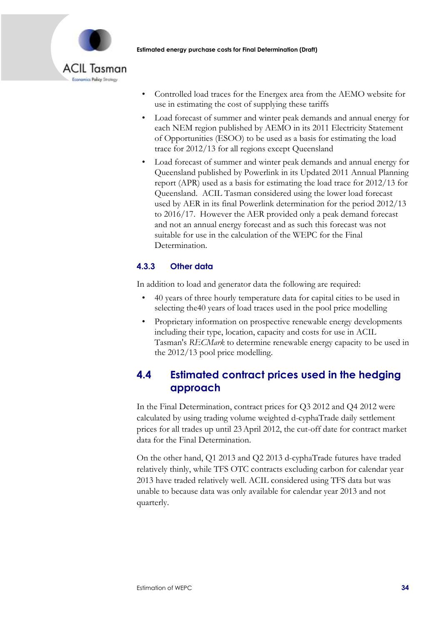

- Controlled load traces for the Energex area from the AEMO website for use in estimating the cost of supplying these tariffs
- Load forecast of summer and winter peak demands and annual energy for each NEM region published by AEMO in its 2011 Electricity Statement of Opportunities (ESOO) to be used as a basis for estimating the load trace for 2012/13 for all regions except Queensland
- Load forecast of summer and winter peak demands and annual energy for Queensland published by Powerlink in its Updated 2011 Annual Planning report (APR) used as a basis for estimating the load trace for 2012/13 for Queensland. ACIL Tasman considered using the lower load forecast used by AER in its final Powerlink determination for the period 2012/13 to 2016/17. However the AER provided only a peak demand forecast and not an annual energy forecast and as such this forecast was not suitable for use in the calculation of the WEPC for the Final Determination.

## <span id="page-38-0"></span>**4.3.3 Other data**

In addition to load and generator data the following are required:

- 40 years of three hourly temperature data for capital cities to be used in selecting the40 years of load traces used in the pool price modelling
- Proprietary information on prospective renewable energy developments including their type, location, capacity and costs for use in ACIL Tasman's *RECMark* to determine renewable energy capacity to be used in the 2012/13 pool price modelling.

# <span id="page-38-1"></span>**4.4 Estimated contract prices used in the hedging approach**

In the Final Determination, contract prices for Q3 2012 and Q4 2012 were calculated by using trading volume weighted d-cyphaTrade daily settlement prices for all trades up until 23April 2012, the cut-off date for contract market data for the Final Determination.

On the other hand, Q1 2013 and Q2 2013 d-cyphaTrade futures have traded relatively thinly, while TFS OTC contracts excluding carbon for calendar year 2013 have traded relatively well. ACIL considered using TFS data but was unable to because data was only available for calendar year 2013 and not quarterly.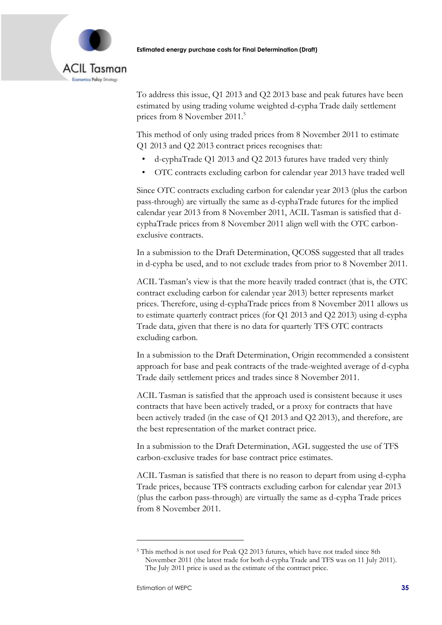

To address this issue, Q1 2013 and Q2 2013 base and peak futures have been estimated by using trading volume weighted d-cypha Trade daily settlement prices from 8 November 2011.<sup>5</sup>

This method of only using traded prices from 8 November 2011 to estimate Q1 2013 and Q2 2013 contract prices recognises that:

- d-cyphaTrade Q1 2013 and Q2 2013 futures have traded very thinly
- OTC contracts excluding carbon for calendar year 2013 have traded well

Since OTC contracts excluding carbon for calendar year 2013 (plus the carbon pass-through) are virtually the same as d-cyphaTrade futures for the implied calendar year 2013 from 8 November 2011, ACIL Tasman is satisfied that dcyphaTrade prices from 8 November 2011 align well with the OTC carbonexclusive contracts.

In a submission to the Draft Determination, QCOSS suggested that all trades in d-cypha be used, and to not exclude trades from prior to 8 November 2011.

ACIL Tasman's view is that the more heavily traded contract (that is, the OTC contract excluding carbon for calendar year 2013) better represents market prices. Therefore, using d-cyphaTrade prices from 8 November 2011 allows us to estimate quarterly contract prices (for Q1 2013 and Q2 2013) using d-cypha Trade data, given that there is no data for quarterly TFS OTC contracts excluding carbon.

In a submission to the Draft Determination, Origin recommended a consistent approach for base and peak contracts of the trade-weighted average of d-cypha Trade daily settlement prices and trades since 8 November 2011.

ACIL Tasman is satisfied that the approach used is consistent because it uses contracts that have been actively traded, or a proxy for contracts that have been actively traded (in the case of Q1 2013 and Q2 2013), and therefore, are the best representation of the market contract price.

In a submission to the Draft Determination, AGL suggested the use of TFS carbon-exclusive trades for base contract price estimates.

ACIL Tasman is satisfied that there is no reason to depart from using d-cypha Trade prices, because TFS contracts excluding carbon for calendar year 2013 (plus the carbon pass-through) are virtually the same as d-cypha Trade prices from 8 November 2011.

-

<sup>5</sup> This method is not used for Peak Q2 2013 futures, which have not traded since 8th November 2011 (the latest trade for both d-cypha Trade and TFS was on 11 July 2011). The July 2011 price is used as the estimate of the contract price.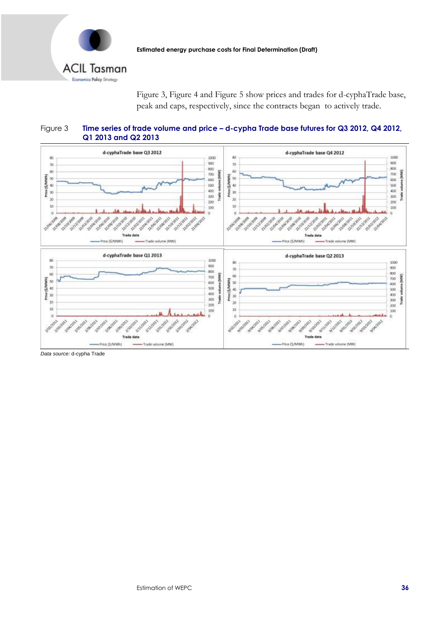

[Figure 3,](#page-40-0) [Figure 4](#page-41-0) and [Figure 5](#page-42-0) show prices and trades for d-cyphaTrade base, peak and caps, respectively, since the contracts began to actively trade.

<span id="page-40-0"></span>



*Data source:* d-cypha Trade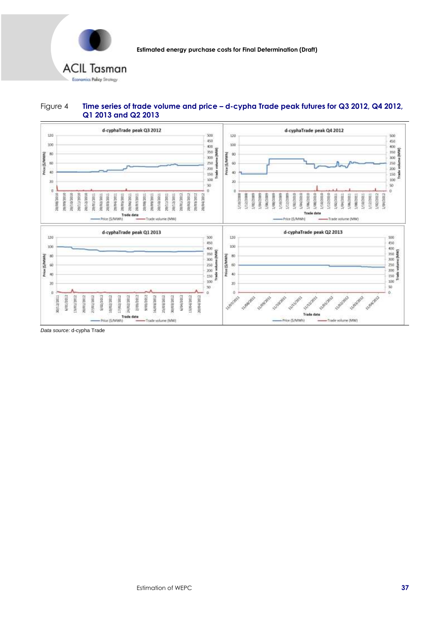

#### <span id="page-41-0"></span>Figure 4 **Time series of trade volume and price – d-cypha Trade peak futures for Q3 2012, Q4 2012, Q1 2013 and Q2 2013**



*Data source:* d-cypha Trade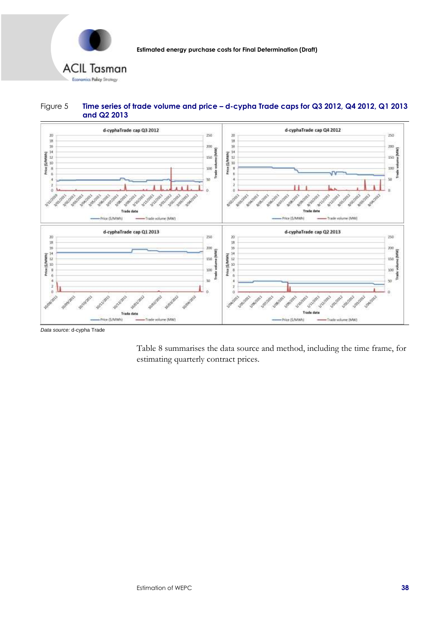

<span id="page-42-0"></span>



*Data source:* d-cypha Trade

[Table 8](#page-43-0) summarises the data source and method, including the time frame, for estimating quarterly contract prices.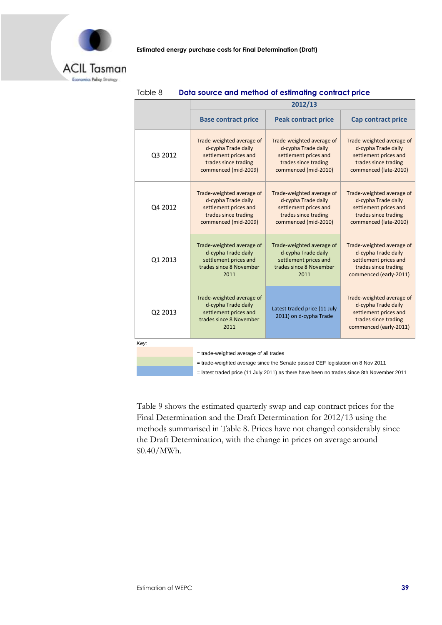

|         | 2012/13                                                                                                                   |                                                                                                                                                                               |                                                                                                                             |  |  |  |  |
|---------|---------------------------------------------------------------------------------------------------------------------------|-------------------------------------------------------------------------------------------------------------------------------------------------------------------------------|-----------------------------------------------------------------------------------------------------------------------------|--|--|--|--|
|         | <b>Base contract price</b>                                                                                                | <b>Peak contract price</b>                                                                                                                                                    | <b>Cap contract price</b>                                                                                                   |  |  |  |  |
| Q3 2012 | Trade-weighted average of<br>d-cypha Trade daily<br>settlement prices and<br>trades since trading<br>commenced (mid-2009) | Trade-weighted average of<br>d-cypha Trade daily<br>settlement prices and<br>trades since trading<br>commenced (mid-2010)                                                     | Trade-weighted average of<br>d-cypha Trade daily<br>settlement prices and<br>trades since trading<br>commenced (late-2010)  |  |  |  |  |
| Q4 2012 | Trade-weighted average of<br>d-cypha Trade daily<br>settlement prices and<br>trades since trading<br>commenced (mid-2009) | Trade-weighted average of<br>d-cypha Trade daily<br>settlement prices and<br>trades since trading<br>commenced (mid-2010)                                                     | Trade-weighted average of<br>d-cypha Trade daily<br>settlement prices and<br>trades since trading<br>commenced (late-2010)  |  |  |  |  |
| Q1 2013 | Trade-weighted average of<br>d-cypha Trade daily<br>settlement prices and<br>trades since 8 November<br>2011              | Trade-weighted average of<br>d-cypha Trade daily<br>settlement prices and<br>trades since 8 November<br>2011                                                                  | Trade-weighted average of<br>d-cypha Trade daily<br>settlement prices and<br>trades since trading<br>commenced (early-2011) |  |  |  |  |
| Q2 2013 | Trade-weighted average of<br>d-cypha Trade daily<br>settlement prices and<br>trades since 8 November<br>2011              | Latest traded price (11 July<br>2011) on d-cypha Trade                                                                                                                        | Trade-weighted average of<br>d-cypha Trade daily<br>settlement prices and<br>trades since trading<br>commenced (early-2011) |  |  |  |  |
| Key:    |                                                                                                                           |                                                                                                                                                                               |                                                                                                                             |  |  |  |  |
|         | = trade-weighted average of all trades                                                                                    |                                                                                                                                                                               |                                                                                                                             |  |  |  |  |
|         |                                                                                                                           | = trade-weighted average since the Senate passed CEF legislation on 8 Nov 2011<br>$=$ latest traded price (11 July 2011) as there have been no trades since 8th November 2011 |                                                                                                                             |  |  |  |  |

#### <span id="page-43-0"></span>Table 8 **Data source and method of estimating contract price**

[Table 9](#page-44-1) shows the estimated quarterly swap and cap contract prices for the Final Determination and the Draft Determination for 2012/13 using the methods summarised in [Table 8.](#page-43-0) Prices have not changed considerably since the Draft Determination, with the change in prices on average around \$0.40/MWh.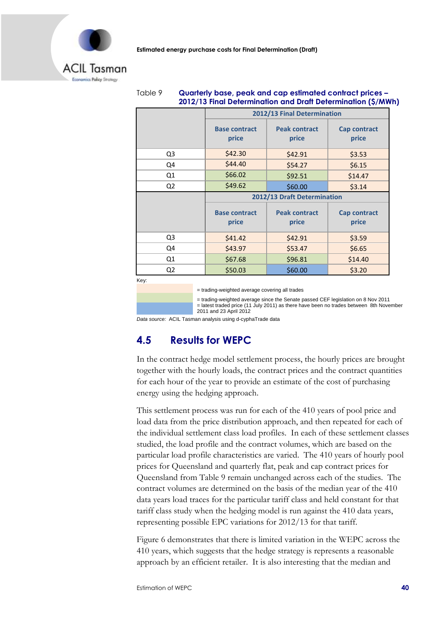

| 2012/13 Final Defermination and Draft Defermination (\$/MWr |                               |                               |                       |  |  |  |  |
|-------------------------------------------------------------|-------------------------------|-------------------------------|-----------------------|--|--|--|--|
|                                                             |                               | 2012/13 Final Determination   |                       |  |  |  |  |
|                                                             | <b>Base contract</b><br>price | <b>Peak contract</b><br>price | Cap contract<br>price |  |  |  |  |
| Q3                                                          | \$42.30                       | \$42.91                       | \$3.53                |  |  |  |  |
| Q4                                                          | \$44.40                       | \$54.27                       | \$6.15                |  |  |  |  |
| Q1                                                          | \$66.02                       | \$92.51                       | \$14.47               |  |  |  |  |
| Q2                                                          | \$49.62                       | \$60.00                       | \$3.14                |  |  |  |  |
|                                                             |                               | 2012/13 Draft Determination   |                       |  |  |  |  |
|                                                             | <b>Base contract</b><br>price | <b>Peak contract</b><br>price | Cap contract<br>price |  |  |  |  |
| Q3                                                          | \$41.42                       | \$42.91                       | \$3.59                |  |  |  |  |
| Q4                                                          | \$43.97                       | \$53.47                       | \$6.65                |  |  |  |  |
| Q1                                                          | \$67.68                       | \$96.81                       | \$14.40               |  |  |  |  |
| Q2                                                          | \$50.03                       | \$60.00                       | \$3.20                |  |  |  |  |

#### <span id="page-44-1"></span>Table 9 **Quarterly base, peak and cap estimated contract prices – 2012/13 Final Determination and Draft Determination (\$/MWh)**

Key:

= trading-weighted average covering all trades

= trading-weighted average since the Senate passed CEF legislation on 8 Nov 2011 = latest traded price (11 July 2011) as there have been no trades between 8th November 2011 and 23 April 2012

*Data source:* ACIL Tasman analysis using d-cyphaTrade data

# <span id="page-44-0"></span>**4.5 Results for WEPC**

In the contract hedge model settlement process, the hourly prices are brought together with the hourly loads, the contract prices and the contract quantities for each hour of the year to provide an estimate of the cost of purchasing energy using the hedging approach.

This settlement process was run for each of the 410 years of pool price and load data from the price distribution approach, and then repeated for each of the individual settlement class load profiles. In each of these settlement classes studied, the load profile and the contract volumes, which are based on the particular load profile characteristics are varied. The 410 years of hourly pool prices for Queensland and quarterly flat, peak and cap contract prices for Queensland from [Table 9](#page-44-1) remain unchanged across each of the studies. The contract volumes are determined on the basis of the median year of the 410 data years load traces for the particular tariff class and held constant for that tariff class study when the hedging model is run against the 410 data years, representing possible EPC variations for 2012/13 for that tariff.

[Figure 6](#page-45-0) demonstrates that there is limited variation in the WEPC across the 410 years, which suggests that the hedge strategy is represents a reasonable approach by an efficient retailer. It is also interesting that the median and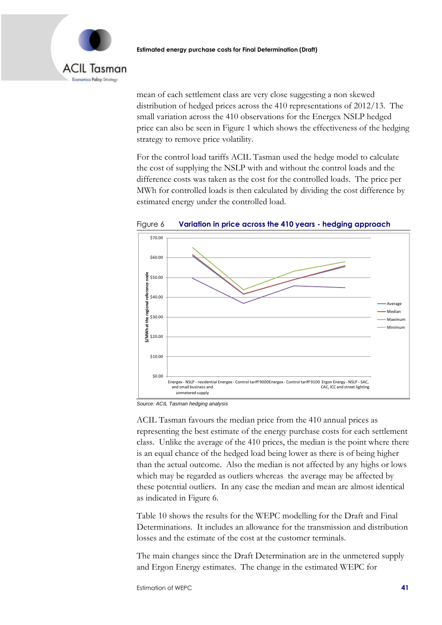



mean of each settlement class are very close suggesting a non skewed distribution of hedged prices across the 410 representations of 2012/13. The small variation across the 410 observations for the Energex NSLP hedged price can also be seen in [Figure 1](#page-13-0) which shows the effectiveness of the hedging strategy to remove price volatility.

For the control load tariffs ACIL Tasman used the hedge model to calculate the cost of supplying the NSLP with and without the control loads and the difference costs was taken as the cost for the controlled loads. The price per MWh for controlled loads is then calculated by dividing the cost difference by estimated energy under the controlled load.



<span id="page-45-0"></span>Figure 6 **Variation in price across the 410 years - hedging approach**

*Source: ACIL Tasman hedging analysis*

ACIL Tasman favours the median price from the 410 annual prices as representing the best estimate of the energy purchase costs for each settlement class. Unlike the average of the 410 prices, the median is the point where there is an equal chance of the hedged load being lower as there is of being higher than the actual outcome. Also the median is not affected by any highs or lows which may be regarded as outliers whereas the average may be affected by these potential outliers. In any case the median and mean are almost identical as indicated in [Figure 6.](#page-45-0)

[Table 10](#page-46-0) shows the results for the WEPC modelling for the Draft and Final Determinations. It includes an allowance for the transmission and distribution losses and the estimate of the cost at the customer terminals.

The main changes since the Draft Determination are in the unmetered supply and Ergon Energy estimates. The change in the estimated WEPC for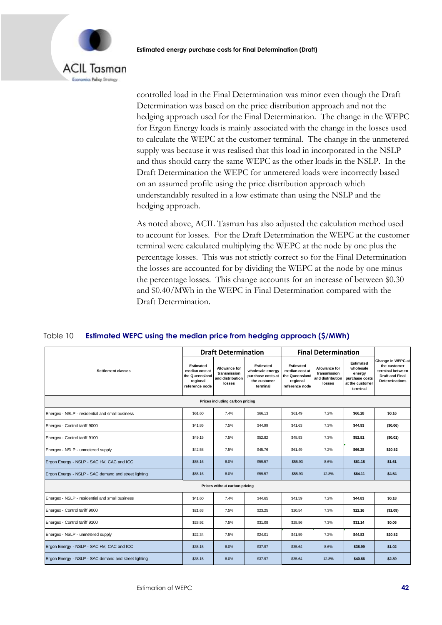

controlled load in the Final Determination was minor even though the Draft Determination was based on the price distribution approach and not the hedging approach used for the Final Determination. The change in the WEPC for Ergon Energy loads is mainly associated with the change in the losses used to calculate the WEPC at the customer terminal. The change in the unmetered supply was because it was realised that this load in incorporated in the NSLP and thus should carry the same WEPC as the other loads in the NSLP. In the Draft Determination the WEPC for unmetered loads were incorrectly based on an assumed profile using the price distribution approach which understandably resulted in a low estimate than using the NSLP and the hedging approach.

As noted above, ACIL Tasman has also adjusted the calculation method used to account for losses. For the Draft Determination the WEPC at the customer terminal were calculated multiplying the WEPC at the node by one plus the percentage losses. This was not strictly correct so for the Final Determination the losses are accounted for by dividing the WEPC at the node by one minus the percentage losses. This change accounts for an increase of between \$0.30 and \$0.40/MWh in the WEPC in Final Determination compared with the Draft Determination.

#### <span id="page-46-0"></span>Table 10 **Estimated WEPC using the median price from hedging approach (\$/MWh)**

|                                                      |                                                                                    | <b>Draft Determination</b>                                  |                                                                                       | <b>Final Determination</b>                                                  |                                                                    |                                                                                          |                                                                                                          |
|------------------------------------------------------|------------------------------------------------------------------------------------|-------------------------------------------------------------|---------------------------------------------------------------------------------------|-----------------------------------------------------------------------------|--------------------------------------------------------------------|------------------------------------------------------------------------------------------|----------------------------------------------------------------------------------------------------------|
| Settlement classes                                   | <b>Estimated</b><br>median cost at<br>the Queensland<br>regional<br>reference node | Allowance for<br>transmission<br>and distribution<br>losses | <b>Estimated</b><br>wholesale energy<br>purchase costs at<br>the customer<br>terminal | Estimated<br>median cost at<br>the Queensland<br>regional<br>reference node | <b>Allowance for</b><br>transmission<br>and distribution<br>losses | <b>Estimated</b><br>wholesale<br>energy<br>purchase costs<br>at the customer<br>terminal | Change in WEPC at<br>the customer<br>terminal between<br><b>Draft and Final</b><br><b>Determinations</b> |
|                                                      |                                                                                    | Prices including carbon pricing                             |                                                                                       |                                                                             |                                                                    |                                                                                          |                                                                                                          |
| Energex - NSLP - residential and small business      | \$61.60                                                                            | 7.4%                                                        | \$66.13                                                                               | \$61.49                                                                     | 7.2%                                                               | \$66.28                                                                                  | \$0.16                                                                                                   |
| Energex - Control tariff 9000                        | \$41.86                                                                            | 7.5%                                                        | \$44.99                                                                               | \$41.63                                                                     | 7.3%                                                               | \$44.93                                                                                  | (\$0.06)                                                                                                 |
| Energex - Control tariff 9100                        | \$49.15                                                                            | 7.5%                                                        | \$52.82                                                                               | \$48.93                                                                     | 7.3%                                                               | \$52.81                                                                                  | (S0.01)                                                                                                  |
| Energex - NSLP - unmetered supply                    | \$42.58                                                                            | 7.5%                                                        | \$45.76                                                                               | \$61.49                                                                     | 7.2%                                                               | \$66.28                                                                                  | \$20.52                                                                                                  |
| Ergon Energy - NSLP - SAC HV, CAC and ICC            | \$55.16                                                                            | 8.0%                                                        | \$59.57                                                                               | \$55.93                                                                     | 8.6%                                                               | \$61.18                                                                                  | \$1.61                                                                                                   |
| Ergon Energy - NSLP - SAC demand and street lighting | \$55.16                                                                            | 8.0%                                                        | \$59.57                                                                               | \$55.93                                                                     | 12.8%                                                              | \$64.11                                                                                  | \$4.54                                                                                                   |
|                                                      |                                                                                    | Prices without carbon pricing                               |                                                                                       |                                                                             |                                                                    |                                                                                          |                                                                                                          |
| Energex - NSLP - residential and small business      | \$41.60                                                                            | 7.4%                                                        | \$44.65                                                                               | \$41.59                                                                     | 7.2%                                                               | \$44.83                                                                                  | \$0.18                                                                                                   |
| Energex - Control tariff 9000                        | \$21.63                                                                            | 7.5%                                                        | \$23.25                                                                               | \$20.54                                                                     | 7.3%                                                               | \$22.16                                                                                  | (\$1.09)                                                                                                 |
| Energex - Control tariff 9100                        | \$28.92                                                                            | 7.5%                                                        | \$31.08                                                                               | \$28.86                                                                     | 7.3%                                                               | \$31.14                                                                                  | \$0.06                                                                                                   |
| Energex - NSLP - unmetered supply                    | \$22.34                                                                            | 7.5%                                                        | \$24.01                                                                               | \$41.59                                                                     | 7.2%                                                               | \$44.83                                                                                  | \$20.82                                                                                                  |
| Ergon Energy - NSLP - SAC HV, CAC and ICC            | \$35.15                                                                            | 8.0%                                                        | \$37.97                                                                               | \$35.64                                                                     | 8.6%                                                               | \$38.99                                                                                  | \$1.02                                                                                                   |
| Ergon Energy - NSLP - SAC demand and street lighting | \$35.15                                                                            | 8.0%                                                        | \$37.97                                                                               | \$35.64                                                                     | 12.8%                                                              | \$40.86                                                                                  | \$2.89                                                                                                   |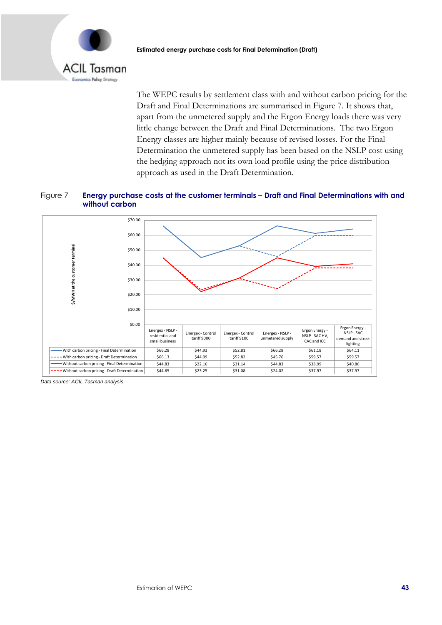

The WEPC results by settlement class with and without carbon pricing for the Draft and Final Determinations are summarised in [Figure 7.](#page-47-0) It shows that, apart from the unmetered supply and the Ergon Energy loads there was very little change between the Draft and Final Determinations. The two Ergon Energy classes are higher mainly because of revised losses. For the Final Determination the unmetered supply has been based on the NSLP cost using the hedging approach not its own load profile using the price distribution approach as used in the Draft Determination.

#### <span id="page-47-0"></span>Figure 7 **Energy purchase costs at the customer terminals – Draft and Final Determinations with and without carbon**



*Data source: ACIL Tasman analysis*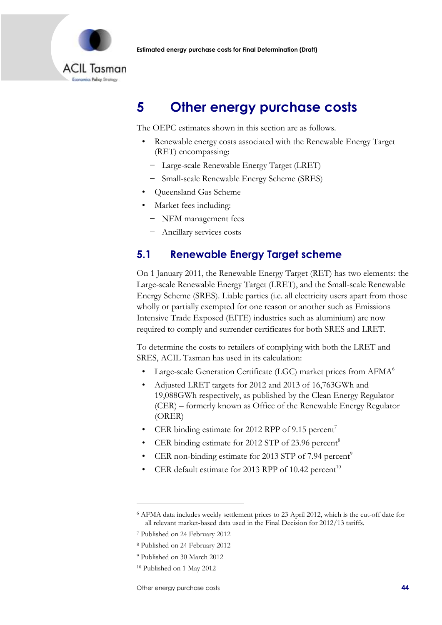

# <span id="page-48-0"></span>**5 Other energy purchase costs**

The OEPC estimates shown in this section are as follows.

- Renewable energy costs associated with the Renewable Energy Target (RET) encompassing:
	- − Large-scale Renewable Energy Target (LRET)
	- − Small-scale Renewable Energy Scheme (SRES)
- Queensland Gas Scheme
- Market fees including:
	- − NEM management fees
	- − Ancillary services costs

## <span id="page-48-1"></span>**5.1 Renewable Energy Target scheme**

On 1 January 2011, the Renewable Energy Target (RET) has two elements: the Large-scale Renewable Energy Target (LRET), and the Small-scale Renewable Energy Scheme (SRES). Liable parties (i.e. all electricity users apart from those wholly or partially exempted for one reason or another such as Emissions Intensive Trade Exposed (EITE) industries such as aluminium) are now required to comply and surrender certificates for both SRES and LRET.

To determine the costs to retailers of complying with both the LRET and SRES, ACIL Tasman has used in its calculation:

- Large-scale Generation Certificate (LGC) market prices from  $A FMA<sup>6</sup>$
- Adjusted LRET targets for 2012 and 2013 of 16,763GWh and 19,088GWh respectively, as published by the Clean Energy Regulator (CER) – formerly known as Office of the Renewable Energy Regulator (ORER)
- CER binding estimate for 2012 RPP of 9.15 percent<sup>7</sup>
- CER binding estimate for 2012 STP of 23.96 percent<sup>8</sup>
- CER non-binding estimate for 2013 STP of 7.94 percent<sup>9</sup>
- CER default estimate for 2013 RPP of 10.42 percent<sup>10</sup>

-

<sup>6</sup> AFMA data includes weekly settlement prices to 23 April 2012, which is the cut-off date for all relevant market-based data used in the Final Decision for 2012/13 tariffs.

<sup>7</sup> Published on 24 February 2012

<sup>8</sup> Published on 24 February 2012

<sup>9</sup> Published on 30 March 2012

<sup>10</sup> Published on 1 May 2012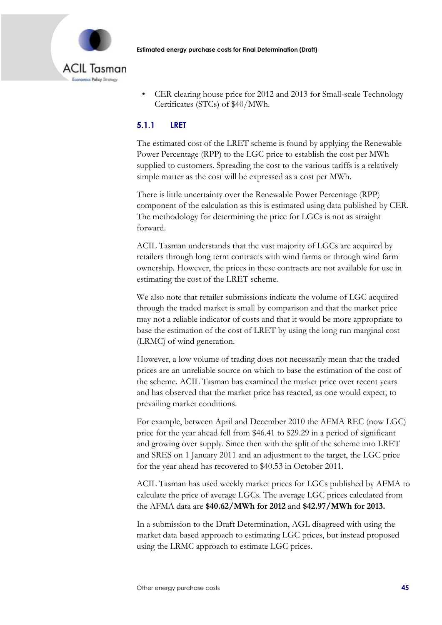

• CER clearing house price for 2012 and 2013 for Small-scale Technology Certificates (STCs) of \$40/MWh.

## <span id="page-49-0"></span>**5.1.1 LRET**

The estimated cost of the LRET scheme is found by applying the Renewable Power Percentage (RPP) to the LGC price to establish the cost per MWh supplied to customers. Spreading the cost to the various tariffs is a relatively simple matter as the cost will be expressed as a cost per MWh.

There is little uncertainty over the Renewable Power Percentage (RPP) component of the calculation as this is estimated using data published by CER. The methodology for determining the price for LGCs is not as straight forward.

ACIL Tasman understands that the vast majority of LGCs are acquired by retailers through long term contracts with wind farms or through wind farm ownership. However, the prices in these contracts are not available for use in estimating the cost of the LRET scheme.

We also note that retailer submissions indicate the volume of LGC acquired through the traded market is small by comparison and that the market price may not a reliable indicator of costs and that it would be more appropriate to base the estimation of the cost of LRET by using the long run marginal cost (LRMC) of wind generation.

However, a low volume of trading does not necessarily mean that the traded prices are an unreliable source on which to base the estimation of the cost of the scheme. ACIL Tasman has examined the market price over recent years and has observed that the market price has reacted, as one would expect, to prevailing market conditions.

For example, between April and December 2010 the AFMA REC (now LGC) price for the year ahead fell from \$46.41 to \$29.29 in a period of significant and growing over supply. Since then with the split of the scheme into LRET and SRES on 1 January 2011 and an adjustment to the target, the LGC price for the year ahead has recovered to \$40.53 in October 2011.

ACIL Tasman has used weekly market prices for LGCs published by AFMA to calculate the price of average LGCs. The average LGC prices calculated from the AFMA data are **\$40.62/MWh for 2012** and **\$42.97/MWh for 2013.**

In a submission to the Draft Determination, AGL disagreed with using the market data based approach to estimating LGC prices, but instead proposed using the LRMC approach to estimate LGC prices.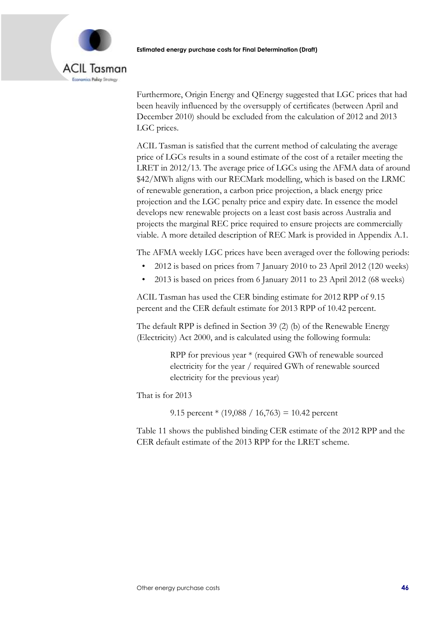

Furthermore, Origin Energy and QEnergy suggested that LGC prices that had been heavily influenced by the oversupply of certificates (between April and December 2010) should be excluded from the calculation of 2012 and 2013 LGC prices.

ACIL Tasman is satisfied that the current method of calculating the average price of LGCs results in a sound estimate of the cost of a retailer meeting the LRET in 2012/13. The average price of LGCs using the AFMA data of around \$42/MWh aligns with our RECMark modelling, which is based on the LRMC of renewable generation, a carbon price projection, a black energy price projection and the LGC penalty price and expiry date. In essence the model develops new renewable projects on a least cost basis across Australia and projects the marginal REC price required to ensure projects are commercially viable. A more detailed description of REC Mark is provided in Appendix [A.1.](#page-59-1)

The AFMA weekly LGC prices have been averaged over the following periods:

- 2012 is based on prices from 7 January 2010 to 23 April 2012 (120 weeks)
- 2013 is based on prices from 6 January 2011 to 23 April 2012 (68 weeks)

ACIL Tasman has used the CER binding estimate for 2012 RPP of 9.15 percent and the CER default estimate for 2013 RPP of 10.42 percent.

The default RPP is defined in Section 39 (2) (b) of the Renewable Energy (Electricity) Act 2000, and is calculated using the following formula:

> RPP for previous year \* (required GWh of renewable sourced electricity for the year / required GWh of renewable sourced electricity for the previous year)

That is for 2013

9.15 percent \*  $(19,088 / 16,763) = 10.42$  percent

[Table 11](#page-51-1) shows the published binding CER estimate of the 2012 RPP and the CER default estimate of the 2013 RPP for the LRET scheme.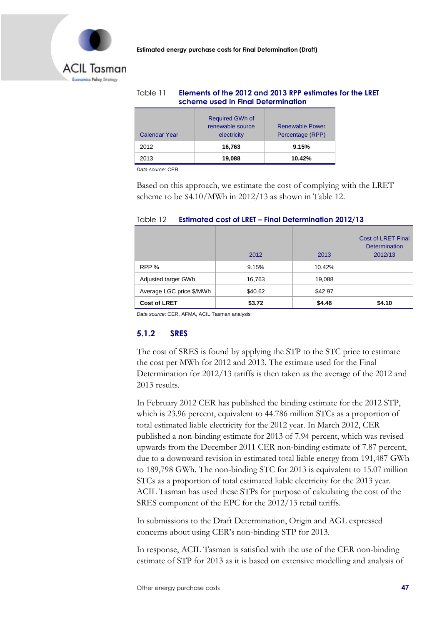

#### <span id="page-51-1"></span>Table 11 **Elements of the 2012 and 2013 RPP estimates for the LRET scheme used in Final Determination**

| <b>Calendar Year</b> | <b>Required GWh of</b><br>renewable source<br>electricity | Renewable Power<br>Percentage (RPP) |
|----------------------|-----------------------------------------------------------|-------------------------------------|
| 2012                 | 16,763                                                    | 9.15%                               |
| 2013                 | 19,088                                                    | 10.42%                              |

*Data source*: CER

Based on this approach, we estimate the cost of complying with the LRET scheme to be \$4.10/MWh in 2012/13 as shown in [Table 12.](#page-51-2)

|                          | 2012    | 2013    | <b>Cost of LRET Final</b><br><b>Determination</b><br>2012/13 |
|--------------------------|---------|---------|--------------------------------------------------------------|
| RPP %                    | 9.15%   | 10.42%  |                                                              |
| Adjusted target GWh      | 16,763  | 19,088  |                                                              |
| Average LGC price \$/MWh | \$40.62 | \$42.97 |                                                              |
| <b>Cost of LRET</b>      | \$3.72  | \$4.48  | \$4.10                                                       |

#### <span id="page-51-2"></span>Table 12 **Estimated cost of LRET – Final Determination 2012/13**

<span id="page-51-0"></span>*Data source*: CER, AFMA, ACIL Tasman analysis

## **5.1.2 SRES**

The cost of SRES is found by applying the STP to the STC price to estimate the cost per MWh for 2012 and 2013. The estimate used for the Final Determination for 2012/13 tariffs is then taken as the average of the 2012 and 2013 results.

In February 2012 CER has published the binding estimate for the 2012 STP, which is 23.96 percent, equivalent to 44.786 million STCs as a proportion of total estimated liable electricity for the 2012 year. In March 2012, CER published a non-binding estimate for 2013 of 7.94 percent, which was revised upwards from the December 2011 CER non-binding estimate of 7.87 percent, due to a downward revision in estimated total liable energy from 191,487 GWh to 189,798 GWh. The non-binding STC for 2013 is equivalent to 15.07 million STCs as a proportion of total estimated liable electricity for the 2013 year. ACIL Tasman has used these STPs for purpose of calculating the cost of the SRES component of the EPC for the 2012/13 retail tariffs.

In submissions to the Draft Determination, Origin and AGL expressed concerns about using CER's non-binding STP for 2013.

In response, ACIL Tasman is satisfied with the use of the CER non-binding estimate of STP for 2013 as it is based on extensive modelling and analysis of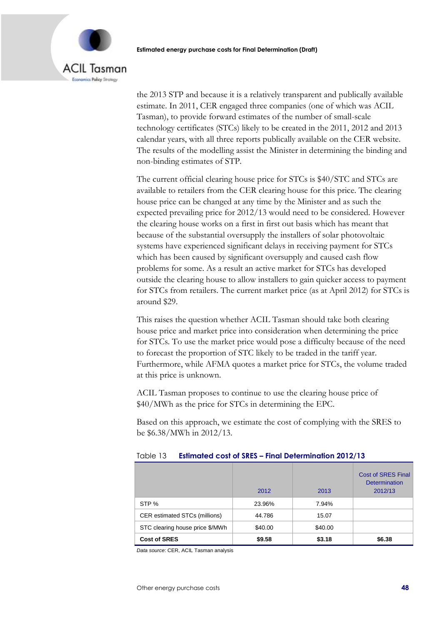

the 2013 STP and because it is a relatively transparent and publically available estimate. In 2011, CER engaged three companies (one of which was ACIL Tasman), to provide forward estimates of the number of small-scale technology certificates (STCs) likely to be created in the 2011, 2012 and 2013 calendar years, with all three reports publically available on the CER website. The results of the modelling assist the Minister in determining the binding and non-binding estimates of STP.

The current official clearing house price for STCs is \$40/STC and STCs are available to retailers from the CER clearing house for this price. The clearing house price can be changed at any time by the Minister and as such the expected prevailing price for 2012/13 would need to be considered. However the clearing house works on a first in first out basis which has meant that because of the substantial oversupply the installers of solar photovoltaic systems have experienced significant delays in receiving payment for STCs which has been caused by significant oversupply and caused cash flow problems for some. As a result an active market for STCs has developed outside the clearing house to allow installers to gain quicker access to payment for STCs from retailers. The current market price (as at April 2012) for STCs is around \$29.

This raises the question whether ACIL Tasman should take both clearing house price and market price into consideration when determining the price for STCs. To use the market price would pose a difficulty because of the need to forecast the proportion of STC likely to be traded in the tariff year. Furthermore, while AFMA quotes a market price for STCs, the volume traded at this price is unknown.

ACIL Tasman proposes to continue to use the clearing house price of \$40/MWh as the price for STCs in determining the EPC.

Based on this approach, we estimate the cost of complying with the SRES to be \$6.38/MWh in 2012/13.

|                                 | 2012    | 2013    | Cost of SRES Final<br><b>Determination</b><br>2012/13 |
|---------------------------------|---------|---------|-------------------------------------------------------|
| STP %                           | 23.96%  | 7.94%   |                                                       |
| CER estimated STCs (millions)   | 44.786  | 15.07   |                                                       |
| STC clearing house price \$/MWh | \$40.00 | \$40.00 |                                                       |
| <b>Cost of SRES</b>             | \$9.58  | \$3.18  | \$6.38                                                |

<span id="page-52-0"></span>Table 13 **Estimated cost of SRES – Final Determination 2012/13**

*Data source*: CER, ACIL Tasman analysis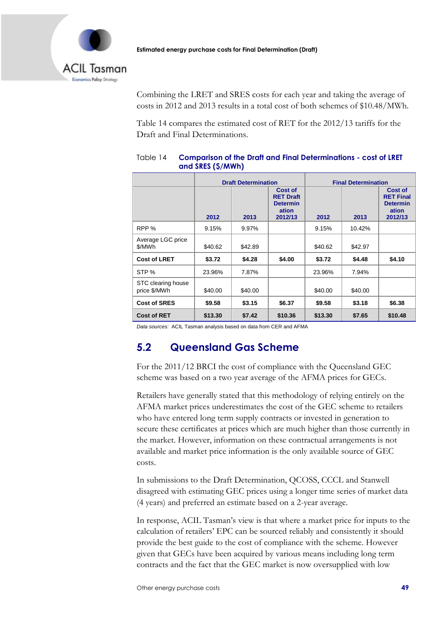

Combining the LRET and SRES costs for each year and taking the average of costs in 2012 and 2013 results in a total cost of both schemes of \$10.48/MWh.

[Table 14](#page-53-1) compares the estimated cost of RET for the 2012/13 tariffs for the Draft and Final Determinations.

|                                    |         | <b>Draft Determination</b> |                                                                    | <b>Final Determination</b> |         |                                                                    |  |
|------------------------------------|---------|----------------------------|--------------------------------------------------------------------|----------------------------|---------|--------------------------------------------------------------------|--|
|                                    | 2012    | 2013                       | Cost of<br><b>RET Draft</b><br><b>Determin</b><br>ation<br>2012/13 | 2012                       | 2013    | Cost of<br><b>RET Final</b><br><b>Determin</b><br>ation<br>2012/13 |  |
| RPP %                              | 9.15%   | 9.97%                      |                                                                    | 9.15%                      | 10.42%  |                                                                    |  |
| Average LGC price<br>\$/MWh        | \$40.62 | \$42.89                    |                                                                    | \$40.62                    | \$42.97 |                                                                    |  |
| <b>Cost of LRET</b>                | \$3.72  | \$4.28                     | \$4.00                                                             | \$3.72                     | \$4.48  | \$4.10                                                             |  |
| STP %                              | 23.96%  | 7.87%                      |                                                                    | 23.96%                     | 7.94%   |                                                                    |  |
| STC clearing house<br>price \$/MWh | \$40.00 | \$40.00                    |                                                                    | \$40.00                    | \$40.00 |                                                                    |  |
| <b>Cost of SRES</b>                | \$9.58  | \$3.15                     | \$6.37                                                             | \$9.58                     | \$3.18  | \$6.38                                                             |  |
| <b>Cost of RET</b>                 | \$13.30 | \$7.42                     | \$10.36                                                            | \$13.30                    | \$7.65  | \$10.48                                                            |  |

#### <span id="page-53-1"></span>Table 14 **Comparison of the Draft and Final Determinations - cost of LRET and SRES (\$/MWh)**

*Data sources:* ACIL Tasman analysis based on data from CER and AFMA

# <span id="page-53-0"></span>**5.2 Queensland Gas Scheme**

For the 2011/12 BRCI the cost of compliance with the Queensland GEC scheme was based on a two year average of the AFMA prices for GECs.

Retailers have generally stated that this methodology of relying entirely on the AFMA market prices underestimates the cost of the GEC scheme to retailers who have entered long term supply contracts or invested in generation to secure these certificates at prices which are much higher than those currently in the market. However, information on these contractual arrangements is not available and market price information is the only available source of GEC costs.

In submissions to the Draft Determination, QCOSS, CCCL and Stanwell disagreed with estimating GEC prices using a longer time series of market data (4 years) and preferred an estimate based on a 2-year average.

In response, ACIL Tasman's view is that where a market price for inputs to the calculation of retailers' EPC can be sourced reliably and consistently it should provide the best guide to the cost of compliance with the scheme. However given that GECs have been acquired by various means including long term contracts and the fact that the GEC market is now oversupplied with low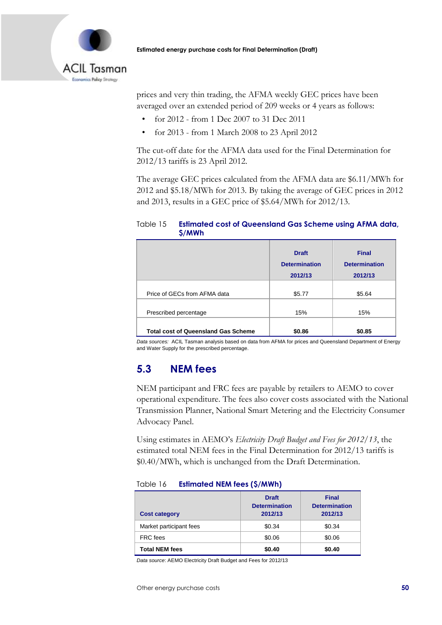

prices and very thin trading, the AFMA weekly GEC prices have been averaged over an extended period of 209 weeks or 4 years as follows:

- for 2012 from 1 Dec 2007 to 31 Dec 2011
- for 2013 from 1 March 2008 to 23 April 2012

The cut-off date for the AFMA data used for the Final Determination for 2012/13 tariffs is 23 April 2012.

The average GEC prices calculated from the AFMA data are \$6.11/MWh for 2012 and \$5.18/MWh for 2013. By taking the average of GEC prices in 2012 and 2013, results in a GEC price of \$5.64/MWh for 2012/13.

### <span id="page-54-1"></span>Table 15 **Estimated cost of Queensland Gas Scheme using AFMA data, \$/MWh**

|                                            | <b>Draft</b><br><b>Determination</b><br>2012/13 | <b>Final</b><br><b>Determination</b><br>2012/13 |
|--------------------------------------------|-------------------------------------------------|-------------------------------------------------|
| Price of GECs from AFMA data               | \$5.77                                          | \$5.64                                          |
| Prescribed percentage                      | 15%                                             | 15%                                             |
| <b>Total cost of Queensland Gas Scheme</b> | \$0.86                                          | \$0.85                                          |

*Data sources:* ACIL Tasman analysis based on data from AFMA for prices and Queensland Department of Energy and Water Supply for the prescribed percentage.

# <span id="page-54-0"></span>**5.3 NEM fees**

NEM participant and FRC fees are payable by retailers to AEMO to cover operational expenditure. The fees also cover costs associated with the National Transmission Planner, National Smart Metering and the Electricity Consumer Advocacy Panel.

Using estimates in AEMO's *Electricity Draft Budget and Fees for 2012/13*, the estimated total NEM fees in the Final Determination for 2012/13 tariffs is \$0.40/MWh, which is unchanged from the Draft Determination.

| .                       |                                                 |                                                 |  |  |  |  |  |
|-------------------------|-------------------------------------------------|-------------------------------------------------|--|--|--|--|--|
| <b>Cost category</b>    | <b>Draft</b><br><b>Determination</b><br>2012/13 | <b>Final</b><br><b>Determination</b><br>2012/13 |  |  |  |  |  |
| Market participant fees | \$0.34                                          | \$0.34                                          |  |  |  |  |  |
| <b>FRC</b> fees         | \$0.06                                          | \$0.06                                          |  |  |  |  |  |
| <b>Total NEM fees</b>   | \$0.40                                          | \$0.40                                          |  |  |  |  |  |

<span id="page-54-2"></span>Table 16 **Estimated NEM fees (\$/MWh)** 

*Data source*: AEMO Electricity Draft Budget and Fees for 2012/13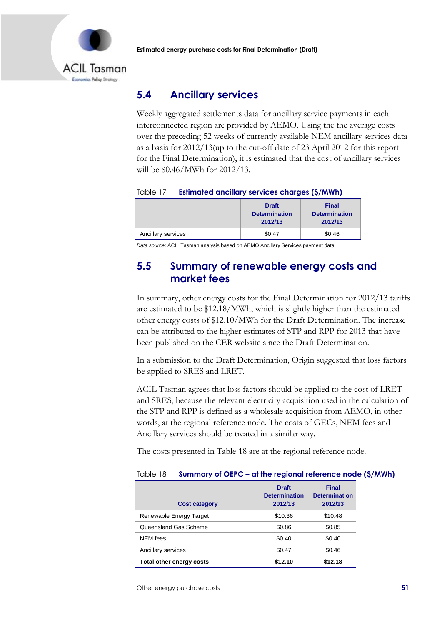



## <span id="page-55-0"></span>**5.4 Ancillary services**

Weekly aggregated settlements data for ancillary service payments in each interconnected region are provided by AEMO. Using the the average costs over the preceding 52 weeks of currently available NEM ancillary services data as a basis for 2012/13(up to the cut-off date of 23 April 2012 for this report for the Final Determination), it is estimated that the cost of ancillary services will be \$0.46/MWh for 2012/13.

<span id="page-55-2"></span>

| Table 17 | <b>Estimated ancillary services charges (\$/MWh)</b> |  |  |  |  |
|----------|------------------------------------------------------|--|--|--|--|
|----------|------------------------------------------------------|--|--|--|--|

|                    | <b>Draft</b><br><b>Determination</b><br>2012/13 | <b>Final</b><br><b>Determination</b><br>2012/13 |
|--------------------|-------------------------------------------------|-------------------------------------------------|
| Ancillary services | \$0.47                                          | \$0.46                                          |

*Data source*: ACIL Tasman analysis based on AEMO Ancillary Services payment data

## <span id="page-55-1"></span>**5.5 Summary of renewable energy costs and market fees**

In summary, other energy costs for the Final Determination for 2012/13 tariffs are estimated to be \$12.18/MWh, which is slightly higher than the estimated other energy costs of \$12.10/MWh for the Draft Determination. The increase can be attributed to the higher estimates of STP and RPP for 2013 that have been published on the CER website since the Draft Determination.

In a submission to the Draft Determination, Origin suggested that loss factors be applied to SRES and LRET.

ACIL Tasman agrees that loss factors should be applied to the cost of LRET and SRES, because the relevant electricity acquisition used in the calculation of the STP and RPP is defined as a wholesale acquisition from AEMO, in other words, at the regional reference node. The costs of GECs, NEM fees and Ancillary services should be treated in a similar way.

<span id="page-55-3"></span>The costs presented in [Table 18](#page-55-3) are at the regional reference node.

| <b>Cost category</b>     | <b>Draft</b><br><b>Determination</b><br>2012/13 | <b>Final</b><br><b>Determination</b><br>2012/13 |
|--------------------------|-------------------------------------------------|-------------------------------------------------|
| Renewable Energy Target  | \$10.36                                         | \$10.48                                         |
| Queensland Gas Scheme    | \$0.86                                          | \$0.85                                          |
| <b>NEM</b> fees          | \$0.40                                          | \$0.40                                          |
| Ancillary services       | \$0.47                                          | \$0.46                                          |
| Total other energy costs | \$12.10                                         | \$12.18                                         |

## Table 18 **Summary of OEPC – at the regional reference node (\$/MWh)**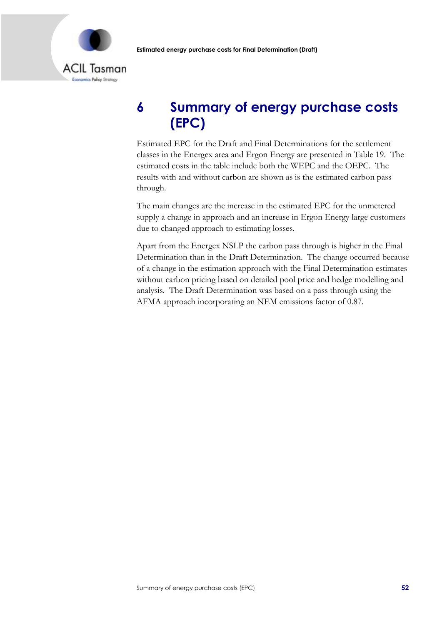

# <span id="page-56-0"></span>**6 Summary of energy purchase costs (EPC)**

Estimated EPC for the Draft and Final Determinations for the settlement classes in the Energex area and Ergon Energy are presented in [Table 19.](#page-57-1) The estimated costs in the table include both the WEPC and the OEPC. The results with and without carbon are shown as is the estimated carbon pass through.

The main changes are the increase in the estimated EPC for the unmetered supply a change in approach and an increase in Ergon Energy large customers due to changed approach to estimating losses.

Apart from the Energex NSLP the carbon pass through is higher in the Final Determination than in the Draft Determination. The change occurred because of a change in the estimation approach with the Final Determination estimates without carbon pricing based on detailed pool price and hedge modelling and analysis. The Draft Determination was based on a pass through using the AFMA approach incorporating an NEM emissions factor of 0.87.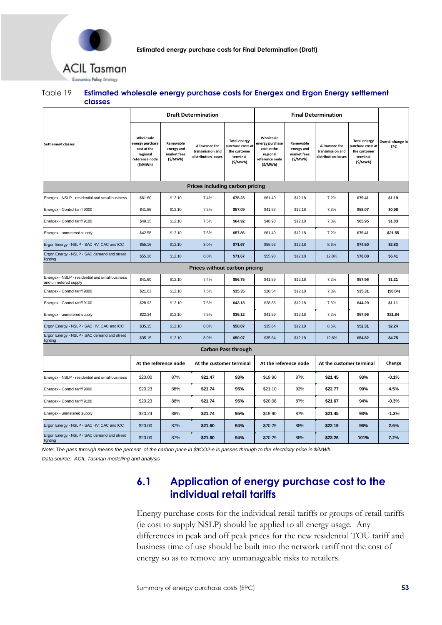

# **ACIL Tasman**

Economics Policy Strategy

#### <span id="page-57-1"></span>Table 19 **Estimated wholesale energy purchase costs for Energex and Ergon Energy settlement classes**

|                                                                         | <b>Draft Determination</b>                                                           |                                                   |                                                          |                                                                                  | <b>Final Determination</b>                                                           |                                                    |                                                          |                                                                                  |                                 |
|-------------------------------------------------------------------------|--------------------------------------------------------------------------------------|---------------------------------------------------|----------------------------------------------------------|----------------------------------------------------------------------------------|--------------------------------------------------------------------------------------|----------------------------------------------------|----------------------------------------------------------|----------------------------------------------------------------------------------|---------------------------------|
| <b>Settlement classes</b>                                               | Wholesale<br>energy purchase<br>cost at the<br>regional<br>reference node<br>(S/MWh) | Renewable<br>energy and<br>market fees<br>(S/MWh) | Allowance for<br>transmission and<br>distribution losses | <b>Total energy</b><br>purchase costs at<br>the customer<br>terminal<br>(\$/MWh) | Wholesale<br>energy purchase<br>cost at the<br>regional<br>reference node<br>(S/MWh) | Renewable<br>energy and<br>market fees<br>(\$/MWh) | Allowance for<br>transmission and<br>distribution losses | <b>Total energy</b><br>purchase costs at<br>the customer<br>terminal<br>(\$/MWh) | Overall change in<br><b>EPC</b> |
|                                                                         |                                                                                      |                                                   | Prices including carbon pricing                          |                                                                                  |                                                                                      |                                                    |                                                          |                                                                                  |                                 |
| Energex - NSLP - residential and small business                         | \$61.60                                                                              | \$12.10                                           | 7.4%                                                     | \$78.23                                                                          | \$61.49                                                                              | \$12.18                                            | 7.2%                                                     | \$79.41                                                                          | \$1.19                          |
| Energex - Control tariff 9000                                           | \$41.86                                                                              | \$12.10                                           | 7.5%                                                     | \$57.09                                                                          | \$41.63                                                                              | \$12.18                                            | 7.3%                                                     | \$58.07                                                                          | \$0.98                          |
| Energex - Control tariff 9100                                           | \$49.15                                                                              | \$12.10                                           | 7.5%                                                     | \$64.92                                                                          | \$48.93                                                                              | \$12.18                                            | 7.3%                                                     | \$65.95                                                                          | \$1.03                          |
| Energex - unmetered supply                                              | \$42.58                                                                              | \$12.10                                           | 7.5%                                                     | \$57.86                                                                          | \$61.49                                                                              | \$12.18                                            | 7.2%                                                     | \$79.41                                                                          | \$21.55                         |
| Ergon Energy - NSLP - SAC HV, CAC and ICC                               | \$55.16                                                                              | \$12.10                                           | 8.0%                                                     | \$71.67                                                                          | \$55.93                                                                              | \$12.18                                            | 8.6%                                                     | \$74.50                                                                          | \$2.83                          |
| Ergon Energy - NSLP - SAC demand and street<br>lighting                 | \$55.16                                                                              | \$12.10                                           | 8.0%                                                     | \$71.67                                                                          | \$55.93                                                                              | \$12.18                                            | 12.8%                                                    | \$78.08                                                                          | \$6.41                          |
|                                                                         |                                                                                      |                                                   | Prices without carbon pricing                            |                                                                                  |                                                                                      |                                                    |                                                          |                                                                                  |                                 |
| Energex - NSLP - residential and small business<br>and unmetered supply | \$41.60                                                                              | \$12.10                                           | 7.4%                                                     | \$56.75                                                                          | \$41.59                                                                              | \$12.18                                            | 7.2%                                                     | \$57.96                                                                          | \$1.21                          |
| Energex - Control tariff 9000                                           | \$21.63                                                                              | \$12.10                                           | 7.5%                                                     | \$35.35                                                                          | \$20.54                                                                              | \$12.18                                            | 7.3%                                                     | \$35.31                                                                          | (\$0.04)                        |
| Energex - Control tariff 9100                                           | \$28.92                                                                              | \$12.10                                           | 7.5%                                                     | \$43.18                                                                          | \$28.86                                                                              | \$12.18                                            | 7.3%                                                     | \$44.29                                                                          | \$1.11                          |
| Energex - unmetered supply                                              | \$22.34                                                                              | \$12.10                                           | 7.5%                                                     | \$36.12                                                                          | \$41.59                                                                              | \$12.18                                            | 7.2%                                                     | \$57.96                                                                          | \$21.84                         |
| Ergon Energy - NSLP - SAC HV, CAC and ICC                               | \$35.15                                                                              | \$12.10                                           | 8.0%                                                     | \$50.07                                                                          | \$35.64                                                                              | \$12.18                                            | 8.6%                                                     | \$52.31                                                                          | \$2.24                          |
| Ergon Energy - NSLP - SAC demand and street<br>lighting                 | \$35.15                                                                              | \$12.10                                           | 8.0%                                                     | \$50.07                                                                          | \$35.64                                                                              | \$12.18                                            | 12.8%                                                    | \$54.82                                                                          | \$4.75                          |
|                                                                         |                                                                                      |                                                   |                                                          | <b>Carbon Pass through</b>                                                       |                                                                                      |                                                    |                                                          |                                                                                  |                                 |
|                                                                         |                                                                                      | At the reference node                             | At the customer terminal                                 |                                                                                  | At the reference node                                                                |                                                    | At the customer terminal                                 |                                                                                  | Change                          |
| Energex - NSLP - residential and small business                         | \$20.00                                                                              | 87%                                               | \$21.47                                                  | 93%                                                                              | \$19.90                                                                              | 87%                                                | \$21.45                                                  | 93%                                                                              | $-0.1%$                         |
| Energex - Control tariff 9000                                           | \$20.23                                                                              | 88%                                               | \$21.74                                                  | 95%                                                                              | \$21.10                                                                              | 92%                                                | \$22.77                                                  | 99%                                                                              | 4.5%                            |
| Energex - Control tariff 9100                                           | \$20.23                                                                              | 88%                                               | \$21.74                                                  | 95%                                                                              | \$20.08                                                                              | 87%                                                | \$21.67                                                  | 94%                                                                              | $-0.3%$                         |
| Energex - unmetered supply                                              | \$20.24                                                                              | 88%                                               | \$21.74                                                  | 95%                                                                              | \$19.90                                                                              | 87%                                                | \$21.45                                                  | 93%                                                                              | $-1.3%$                         |
| Ergon Energy - NSLP - SAC HV, CAC and ICC                               | \$20.00                                                                              | 87%                                               | \$21.60                                                  | 94%                                                                              | \$20.29                                                                              | 88%                                                | \$22.19                                                  | 96%                                                                              | 2.6%                            |
| Ergon Energy - NSLP - SAC demand and street<br>lighting                 | \$20.00                                                                              | 87%                                               | \$21.60                                                  | 94%                                                                              | \$20.29                                                                              | 88%                                                | \$23.26                                                  | 101%                                                                             | 7.2%                            |

*Note: The pass through means the percent of the carbon price in \$/tCO2-e is passes through to the electricity price in \$/MWh.* 

*Data source: ACIL Tasman modelling and analysis*

## <span id="page-57-0"></span>**6.1 Application of energy purchase cost to the individual retail tariffs**

Energy purchase costs for the individual retail tariffs or groups of retail tariffs (ie cost to supply NSLP) should be applied to all energy usage. Any differences in peak and off peak prices for the new residential TOU tariff and business time of use should be built into the network tariff not the cost of energy so as to remove any unmanageable risks to retailers.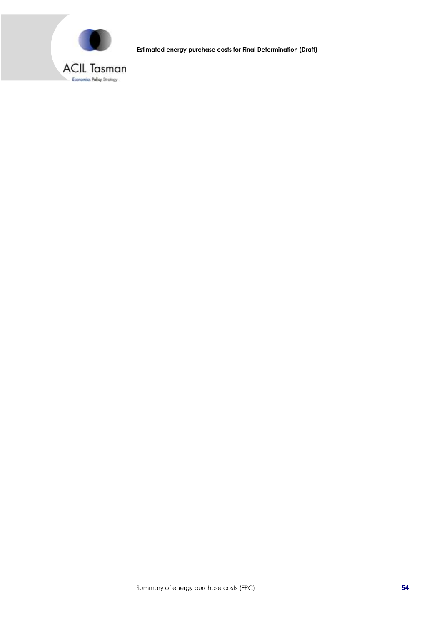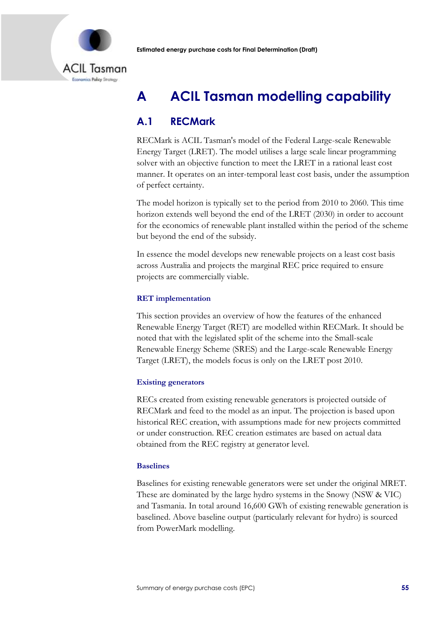

# <span id="page-59-0"></span>**A ACIL Tasman modelling capability**

# <span id="page-59-1"></span>**A.1 RECMark**

RECMark is ACIL Tasman's model of the Federal Large-scale Renewable Energy Target (LRET). The model utilises a large scale linear programming solver with an objective function to meet the LRET in a rational least cost manner. It operates on an inter-temporal least cost basis, under the assumption of perfect certainty.

The model horizon is typically set to the period from 2010 to 2060. This time horizon extends well beyond the end of the LRET (2030) in order to account for the economics of renewable plant installed within the period of the scheme but beyond the end of the subsidy.

In essence the model develops new renewable projects on a least cost basis across Australia and projects the marginal REC price required to ensure projects are commercially viable.

## **RET implementation**

This section provides an overview of how the features of the enhanced Renewable Energy Target (RET) are modelled within RECMark. It should be noted that with the legislated split of the scheme into the Small-scale Renewable Energy Scheme (SRES) and the Large-scale Renewable Energy Target (LRET), the models focus is only on the LRET post 2010.

## **Existing generators**

RECs created from existing renewable generators is projected outside of RECMark and feed to the model as an input. The projection is based upon historical REC creation, with assumptions made for new projects committed or under construction. REC creation estimates are based on actual data obtained from the REC registry at generator level.

## **Baselines**

Baselines for existing renewable generators were set under the original MRET. These are dominated by the large hydro systems in the Snowy (NSW & VIC) and Tasmania. In total around 16,600 GWh of existing renewable generation is baselined. Above baseline output (particularly relevant for hydro) is sourced from PowerMark modelling.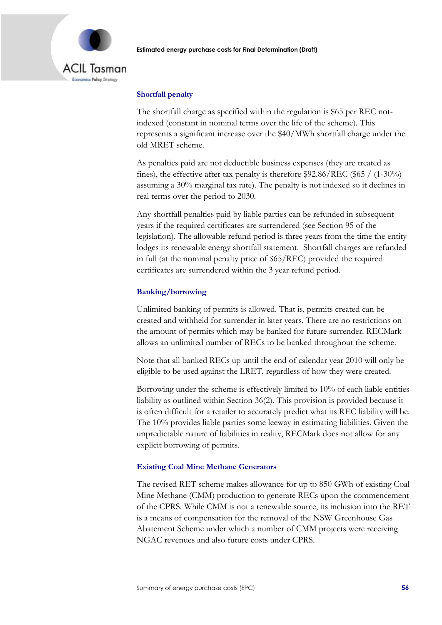

## **Shortfall penalty**

The shortfall charge as specified within the regulation is \$65 per REC notindexed (constant in nominal terms over the life of the scheme). This represents a significant increase over the \$40/MWh shortfall charge under the old MRET scheme.

As penalties paid are not deductible business expenses (they are treated as fines), the effective after tax penalty is therefore \$92.86/REC (\$65 / (1-30%) assuming a 30% marginal tax rate). The penalty is not indexed so it declines in real terms over the period to 2030.

Any shortfall penalties paid by liable parties can be refunded in subsequent years if the required certificates are surrendered (see Section 95 of the legislation). The allowable refund period is three years from the time the entity lodges its renewable energy shortfall statement. Shortfall charges are refunded in full (at the nominal penalty price of \$65/REC) provided the required certificates are surrendered within the 3 year refund period.

## **Banking/borrowing**

Unlimited banking of permits is allowed. That is, permits created can be created and withheld for surrender in later years. There are no restrictions on the amount of permits which may be banked for future surrender. RECMark allows an unlimited number of RECs to be banked throughout the scheme.

Note that all banked RECs up until the end of calendar year 2010 will only be eligible to be used against the LRET, regardless of how they were created.

Borrowing under the scheme is effectively limited to 10% of each liable entities liability as outlined within Section 36(2). This provision is provided because it is often difficult for a retailer to accurately predict what its REC liability will be. The 10% provides liable parties some leeway in estimating liabilities. Given the unpredictable nature of liabilities in reality, RECMark does not allow for any explicit borrowing of permits.

## **Existing Coal Mine Methane Generators**

The revised RET scheme makes allowance for up to 850 GWh of existing Coal Mine Methane (CMM) production to generate RECs upon the commencement of the CPRS. While CMM is not a renewable source, its inclusion into the RET is a means of compensation for the removal of the NSW Greenhouse Gas Abatement Scheme under which a number of CMM projects were receiving NGAC revenues and also future costs under CPRS.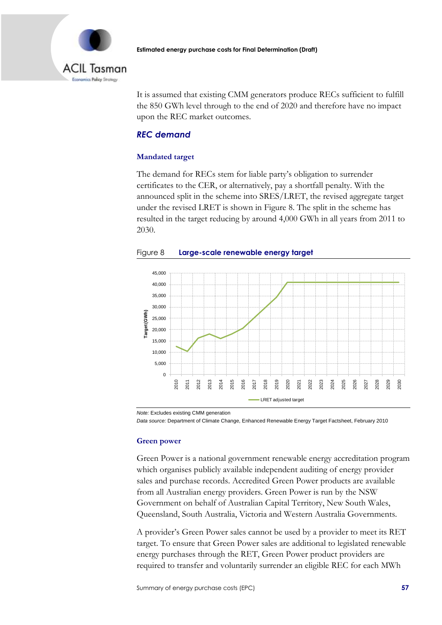

It is assumed that existing CMM generators produce RECs sufficient to fulfill the 850 GWh level through to the end of 2020 and therefore have no impact upon the REC market outcomes.

## *REC demand*

## **Mandated target**

The demand for RECs stem for liable party's obligation to surrender certificates to the CER, or alternatively, pay a shortfall penalty. With the announced split in the scheme into SRES/LRET, the revised aggregate target under the revised LRET is shown in [Figure 8.](#page-61-0) The split in the scheme has resulted in the target reducing by around 4,000 GWh in all years from 2011 to 2030.

<span id="page-61-0"></span>



*Note:* Excludes existing CMM generation

*Data source:* Department of Climate Change, Enhanced Renewable Energy Target Factsheet, February 2010

#### **Green power**

Green Power is a national government renewable energy accreditation program which organises publicly available independent auditing of energy provider sales and purchase records. Accredited Green Power products are available from all Australian energy providers. Green Power is run by the NSW Government on behalf of Australian Capital Territory, New South Wales, Queensland, South Australia, Victoria and Western Australia Governments.

A provider's Green Power sales cannot be used by a provider to meet its RET target. To ensure that Green Power sales are additional to legislated renewable energy purchases through the RET, Green Power product providers are required to transfer and voluntarily surrender an eligible REC for each MWh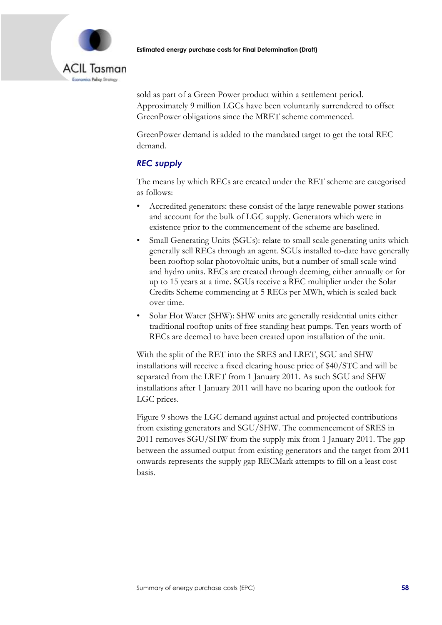

sold as part of a Green Power product within a settlement period. Approximately 9 million LGCs have been voluntarily surrendered to offset GreenPower obligations since the MRET scheme commenced.

GreenPower demand is added to the mandated target to get the total REC demand.

## *REC supply*

The means by which RECs are created under the RET scheme are categorised as follows:

- Accredited generators: these consist of the large renewable power stations and account for the bulk of LGC supply. Generators which were in existence prior to the commencement of the scheme are baselined.
- Small Generating Units (SGUs): relate to small scale generating units which generally sell RECs through an agent. SGUs installed to-date have generally been rooftop solar photovoltaic units, but a number of small scale wind and hydro units. RECs are created through deeming, either annually or for up to 15 years at a time. SGUs receive a REC multiplier under the Solar Credits Scheme commencing at 5 RECs per MWh, which is scaled back over time.
- Solar Hot Water (SHW): SHW units are generally residential units either traditional rooftop units of free standing heat pumps. Ten years worth of RECs are deemed to have been created upon installation of the unit.

With the split of the RET into the SRES and LRET, SGU and SHW installations will receive a fixed clearing house price of \$40/STC and will be separated from the LRET from 1 January 2011. As such SGU and SHW installations after 1 January 2011 will have no bearing upon the outlook for LGC prices.

[Figure 9](#page-63-0) shows the LGC demand against actual and projected contributions from existing generators and SGU/SHW. The commencement of SRES in 2011 removes SGU/SHW from the supply mix from 1 January 2011. The gap between the assumed output from existing generators and the target from 2011 onwards represents the supply gap RECMark attempts to fill on a least cost basis.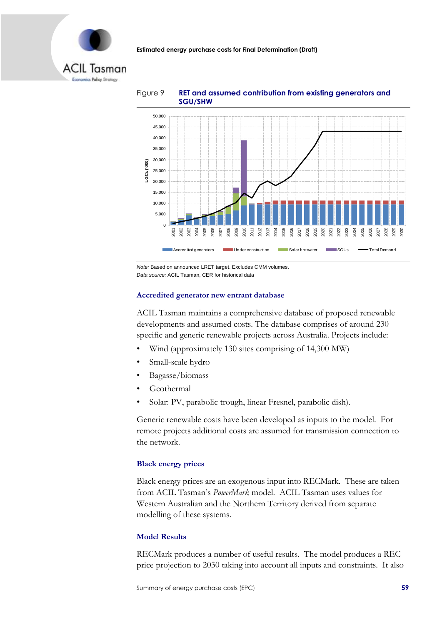



<span id="page-63-0"></span>Figure 9 **RET and assumed contribution from existing generators and SGU/SHW**

*Note:* Based on announced LRET target. Excludes CMM volumes. *Data source:* ACIL Tasman, CER for historical data

#### **Accredited generator new entrant database**

ACIL Tasman maintains a comprehensive database of proposed renewable developments and assumed costs. The database comprises of around 230 specific and generic renewable projects across Australia. Projects include:

- Wind (approximately 130 sites comprising of 14,300 MW)
- Small-scale hydro
- Bagasse/biomass
- Geothermal
- Solar: PV, parabolic trough, linear Fresnel, parabolic dish).

Generic renewable costs have been developed as inputs to the model. For remote projects additional costs are assumed for transmission connection to the network.

## **Black energy prices**

Black energy prices are an exogenous input into RECMark. These are taken from ACIL Tasman's *PowerMark* model. ACIL Tasman uses values for Western Australian and the Northern Territory derived from separate modelling of these systems.

#### **Model Results**

RECMark produces a number of useful results. The model produces a REC price projection to 2030 taking into account all inputs and constraints. It also